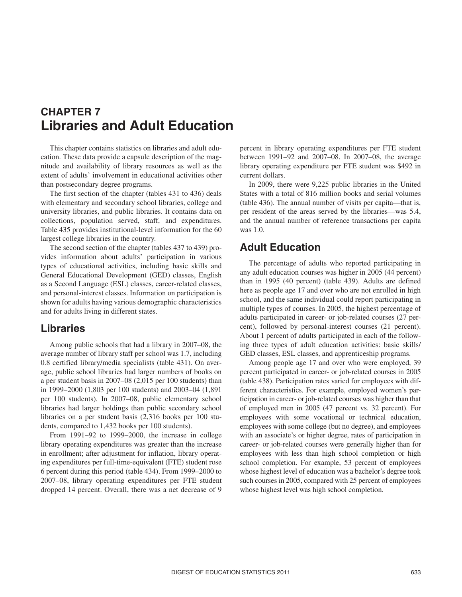# **CHAPTER 7 Libraries and Adult Education**

 cation. These data provide a capsule description of the mag- nitude and availability of library resources as well as the This chapter contains statistics on libraries and adult eduextent of adults' involvement in educational activities other than postsecondary degree programs.

The first section of the chapter (tables 431 to 436) deals with elementary and secondary school libraries, college and university libraries, and public libraries. It contains data on collections, population served, staff, and expenditures. Table 435 provides institutional-level information for the 60 largest college libraries in the country.

 The second section of the chapter (tables 437 to 439) pro- vides information about adults' participation in various types of educational activities, including basic skills and General Educational Development (GED) classes, English as a Second Language (ESL) classes, career-related classes, and personal-interest classes. Information on participation is shown for adults having various demographic characteristics and for adults living in different states.

# **Libraries**

 a per student basis in 2007–08 (2,015 per 100 students) than per 100 students). In 2007–08, public elementary school libraries on a per student basis (2,316 books per 100 stu-Among public schools that had a library in 2007–08, the average number of library staff per school was 1.7, including 0.8 certified library/media specialists (table 431). On average, public school libraries had larger numbers of books on in 1999–2000 (1,803 per 100 students) and 2003–04 (1,891 libraries had larger holdings than public secondary school dents, compared to 1,432 books per 100 students).

From 1991–92 to 1999–2000, the increase in college library operating expenditures was greater than the increase in enrollment; after adjustment for inflation, library operating expenditures per full-time-equivalent (FTE) student rose 6 percent during this period (table 434). From 1999–2000 to 2007–08, library operating expenditures per FTE student dropped 14 percent. Overall, there was a net decrease of 9 percent in library operating expenditures per FTE student between 1991–92 and 2007–08. In 2007–08, the average library operating expenditure per FTE student was \$492 in current dollars.

In 2009, there were 9,225 public libraries in the United States with a total of 816 million books and serial volumes (table 436). The annual number of visits per capita—that is, per resident of the areas served by the libraries—was 5.4, and the annual number of reference transactions per capita was 1.0.

# **Adult Education**

 any adult education courses was higher in 2005 (44 percent) here as people age 17 and over who are not enrolled in high About 1 percent of adults participated in each of the follow- ing three types of adult education activities: basic skills/ The percentage of adults who reported participating in than in 1995 (40 percent) (table 439). Adults are defined school, and the same individual could report participating in multiple types of courses. In 2005, the highest percentage of adults participated in career- or job-related courses (27 percent), followed by personal-interest courses (21 percent). GED classes, ESL classes, and apprenticeship programs.

 of employed men in 2005 (47 percent vs. 32 percent). For career- or job-related courses were generally higher than for Among people age 17 and over who were employed, 39 percent participated in career- or job-related courses in 2005 (table 438). Participation rates varied for employees with different characteristics. For example, employed women's participation in career- or job-related courses was higher than that employees with some vocational or technical education, employees with some college (but no degree), and employees with an associate's or higher degree, rates of participation in employees with less than high school completion or high school completion. For example, 53 percent of employees whose highest level of education was a bachelor's degree took such courses in 2005, compared with 25 percent of employees whose highest level was high school completion.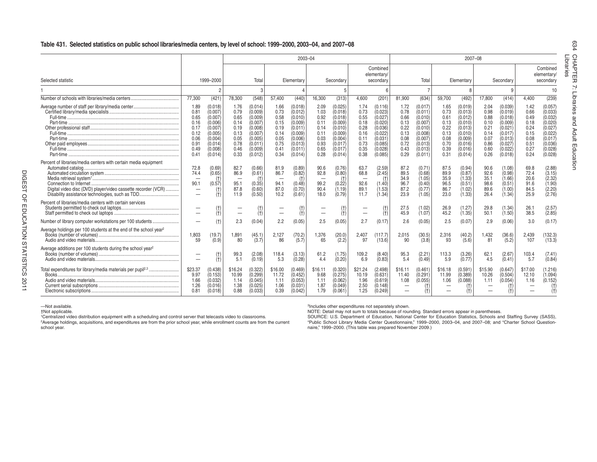#### **Libraries Table 431. Selected statistics on public school libraries/media centers, by level of school: 1999–2000, 2003–04, and 2007–08**

|                                                                                                                                                                                     |                                                                              |                                                                                                   |                                                                              |                                                                                                            |                                                                              | $2003 - 04$                                                                                                |                                                                              |                                                                                                            |                                                                              |                                                                                                     |                                                                              |                                                                                                            |                                                                              | 2007-08                                                                                                    |                                                                              |                                                                                                            |                                                                              |                                                                                                           | ౧                                 |
|-------------------------------------------------------------------------------------------------------------------------------------------------------------------------------------|------------------------------------------------------------------------------|---------------------------------------------------------------------------------------------------|------------------------------------------------------------------------------|------------------------------------------------------------------------------------------------------------|------------------------------------------------------------------------------|------------------------------------------------------------------------------------------------------------|------------------------------------------------------------------------------|------------------------------------------------------------------------------------------------------------|------------------------------------------------------------------------------|-----------------------------------------------------------------------------------------------------|------------------------------------------------------------------------------|------------------------------------------------------------------------------------------------------------|------------------------------------------------------------------------------|------------------------------------------------------------------------------------------------------------|------------------------------------------------------------------------------|------------------------------------------------------------------------------------------------------------|------------------------------------------------------------------------------|-----------------------------------------------------------------------------------------------------------|-----------------------------------|
| Selected statistic                                                                                                                                                                  |                                                                              | 1999-2000                                                                                         |                                                                              | Total                                                                                                      |                                                                              | Elementary                                                                                                 |                                                                              | Secondary                                                                                                  |                                                                              | Combined<br>elementary/<br>secondary                                                                |                                                                              | Total                                                                                                      |                                                                              | Elementary                                                                                                 |                                                                              | Secondary                                                                                                  |                                                                              | Combined<br>elementary/<br>secondary                                                                      | HAPT.<br>mi<br>$\epsilon$<br>Œ    |
|                                                                                                                                                                                     |                                                                              | c                                                                                                 |                                                                              |                                                                                                            |                                                                              |                                                                                                            |                                                                              |                                                                                                            |                                                                              |                                                                                                     |                                                                              |                                                                                                            |                                                                              |                                                                                                            |                                                                              | 9                                                                                                          |                                                                              | 10                                                                                                        | 7                                 |
|                                                                                                                                                                                     | 77.300                                                                       | (421)                                                                                             | 78,300                                                                       | (548)                                                                                                      | 57.400                                                                       | (440)                                                                                                      | 16,300                                                                       | (313)                                                                                                      | 4.600                                                                        | (201)                                                                                               | 81.900                                                                       | (634)                                                                                                      | 59,700                                                                       | (492)                                                                                                      | 17.800                                                                       | (414)                                                                                                      | 4.400                                                                        | (239)                                                                                                     |                                   |
|                                                                                                                                                                                     | 1.89<br>0.81<br>0.65<br>0.16<br>0.17<br>0.12<br>0.06<br>0.91<br>0.49<br>0.41 | 0.018)<br>(0.007)<br>(0.007)<br>0.006)<br>0.007<br>0.005<br>(0.004)<br>0.014)<br>0.008<br>(0.014) | 1.76<br>0.79<br>0.65<br>0.14<br>0.19<br>0.13<br>0.05<br>0.78<br>0.46<br>0.33 | (0.014)<br>(0.009)<br>(0.009)<br>(0.007)<br>(0.008)<br>(0.007)<br>(0.005)<br>(0.011)<br>(0.009)<br>(0.012) | 1.66<br>0.73<br>0.58<br>0.15<br>0.19<br>0.14<br>0.05<br>0.75<br>0.41<br>0.34 | (0.018)<br>(0.012)<br>(0.010)<br>(0.009)<br>(0.011)<br>(0.009)<br>(0.006)<br>(0.013)<br>(0.011)<br>(0.014) | 2.09<br>1.03<br>0.92<br>0.11<br>0.14<br>0.11<br>0.03<br>0.93<br>0.65<br>0.28 | (0.025)<br>(0.018)<br>(0.018)<br>(0.009)<br>(0.010)<br>(0.009)<br>(0.004)<br>(0.017)<br>(0.017)<br>(0.014) | 1.74<br>0.73<br>0.55<br>0.18<br>0.28<br>0.16<br>0.11<br>0.73<br>0.35<br>0.38 | (0.116)<br>(0.023)<br>(0.027<br>0.020<br>(0.036)<br>(0.022)<br>(0.031)<br>0.085<br>0.028<br>(0.085) | 1.72<br>0.78<br>0.66<br>0.13<br>0.22<br>0.13<br>0.08<br>0.72<br>0.43<br>0.29 | (0.017)<br>(0.011)<br>(0.010)<br>(0.007)<br>(0.010)<br>(0.008)<br>(0.007)<br>(0.013)<br>(0.013)<br>(0.011) | 1.65<br>0.73<br>0.61<br>0.13<br>0.22<br>0.13<br>0.08<br>0.70<br>0.39<br>0.31 | (0.019)<br>(0.013)<br>(0.012)<br>(0.010)<br>(0.013)<br>(0.010)<br>(0.009)<br>(0.016)<br>(0.016)<br>(0.014) | 2.04<br>0.98<br>0.88<br>0.10<br>0.21<br>0.14<br>0.07<br>0.86<br>0.60<br>0.26 | (0.039)<br>(0.019)<br>(0.018)<br>(0.009)<br>(0.021)<br>(0.017)<br>(0.013)<br>(0.027)<br>(0.022)<br>(0.018) | 1.42<br>0.66<br>0.49<br>0.18<br>0.24<br>0.15<br>0.08<br>0.51<br>0.27<br>0.24 | (0.057)<br>(0.033)<br>(0.032)<br>(0.020)<br>(0.027)<br>(0.022<br>(0.017)<br>(0.036)<br>(0.028)<br>(0.028) | Libraries<br>and<br>Adult<br>Educ |
| Percent of libraries/media centers with certain media equipment<br>Digital video disc (DVD) player/video cassette recorder (VCR)<br>Disability assistance technologies, such as TDD | 72.8<br>74.4<br>90.1<br>$\overline{\phantom{m}}$                             | (0.69)<br>(0.65)<br>(t)<br>(0.57)<br>Ή                                                            | 82.7<br>86.9<br>-<br>95.1<br>87.8<br>11.9                                    | (0.66)<br>(0.61)<br>(t)<br>(0.35)<br>(0.60)<br>(0.50)                                                      | 81.9<br>86.7<br>-<br>94.1<br>87.0<br>10.2                                    | (0.89)<br>(0.82)<br>(t)<br>(0.48)<br>(0.70)<br>(0.61)                                                      | 90.6<br>92.8<br>-<br>99.2<br>90.4<br>18.0                                    | (0.76)<br>(0.80)<br>$(+)$<br>(0.22)<br>(1.19)<br>(0.79)                                                    | 63.7<br>68.8<br>$\overline{\phantom{a}}$<br>92.6<br>89.1<br>11.7             | (2.59)<br>(2.45)<br>(t)<br>(1.40)<br>1.53)<br>(1.34)                                                | 87.2<br>89.5<br>34.9<br>96.7<br>87.2<br>23.9                                 | (0.71)<br>(0.68)<br>(1.05)<br>(0.40)<br>(0.77)<br>(1.05)                                                   | 87.5<br>89.9<br>35.9<br>96.5<br>86.7<br>23.0                                 | (0.94)<br>(0.87)<br>(1.33)<br>(0.51)<br>(1.02)<br>(1.33)                                                   | 90.6<br>92.6<br>35.1<br>98.6<br>89.6<br>26.4                                 | (1.08)<br>(0.98)<br>(1.66)<br>(0.51)<br>(1.00)<br>(1.34)                                                   | 69.8<br>72.4<br>20.6<br>91.6<br>84.5<br>25.9                                 | (2.88)<br>(3.15)<br>(2.32)<br>(1.90)<br>(2.20)<br>(2.76)                                                  | g                                 |
| Percent of libraries/media centers with certain services                                                                                                                            |                                                                              | (†<br>$^{(+)}$                                                                                    | -                                                                            |                                                                                                            |                                                                              | $(+)$                                                                                                      |                                                                              | (t)                                                                                                        |                                                                              | (t)<br>(t)                                                                                          | 27.5<br>45.9                                                                 | (1.02)<br>(1.07)                                                                                           | 26.9<br>45.2                                                                 | (1.27)<br>(1.35)                                                                                           | 29.8<br>50.1                                                                 | (1.34)<br>(1.50)                                                                                           | 26.7<br>38.5                                                                 | (2.57)<br>(2.85)                                                                                          |                                   |
| Number of library computer workstations per 100 students                                                                                                                            |                                                                              | $(+)$                                                                                             | 2.3                                                                          | (0.04)                                                                                                     | 2.2                                                                          | (0.05)                                                                                                     | 2.5                                                                          | (0.05)                                                                                                     | 2.7                                                                          | (0.17)                                                                                              | 2.6                                                                          | (0.05)                                                                                                     | 2.5                                                                          | (0.07)                                                                                                     | 2.9                                                                          | (0.06)                                                                                                     | 3.0                                                                          | (0.17)                                                                                                    |                                   |
|                                                                                                                                                                                     | 1,803<br>59                                                                  | (19.7)<br>(0.9)                                                                                   | 1,891<br>80                                                                  | (45.1)<br>(3.7)                                                                                            | 2,127<br>86                                                                  | (70.2)<br>(5.7)                                                                                            | 1,376<br>65                                                                  | (20.0)<br>(2.2)                                                                                            | 2,407<br>97                                                                  | (117.7)<br>(13.6)                                                                                   | 2.015<br>90                                                                  | (30.5)<br>(3.8)                                                                                            | 2,316<br>93                                                                  | (40.2)<br>(5.6)                                                                                            | 1,432<br>81                                                                  | (36.6)<br>(5.2)                                                                                            | 2,439<br>107                                                                 | (132.3)<br>(13.3)                                                                                         |                                   |
| Average additions per 100 students during the school year <sup>2</sup>                                                                                                              |                                                                              | (†<br>Ή,                                                                                          | 99.3<br>5.1                                                                  | (2.08)<br>(0.19)                                                                                           | 118.4<br>5.3                                                                 | (3.13)<br>(0.28)                                                                                           | 61.2<br>4.4                                                                  | (1.75)<br>(0.20)                                                                                           | 109.2<br>6.9                                                                 | (8.40)<br>(0.83)                                                                                    | 95.3<br>5.4                                                                  | (2.21)<br>(0.49)                                                                                           | 113.3<br>5.9                                                                 | (3.26)<br>(0.77)                                                                                           | 62.1<br>4.5                                                                  | (2.67)<br>(0.41)                                                                                           | 103.4<br>5.7                                                                 | (7.41)<br>(0.84)                                                                                          |                                   |
|                                                                                                                                                                                     | \$23.37<br>9.97<br>1.66<br>1.26<br>0.81                                      | (0.438)<br>(0.153)<br>0.032<br>0.016)<br>(0.018)                                                  | \$16.24<br>10.99<br>1.14<br>1.38<br>0.88                                     | (0.322)<br>(0.299)<br>(0.045)<br>(0.025)<br>(0.033)                                                        | \$16.00<br>11.72<br>1.11<br>1.06<br>0.39                                     | (0.469)<br>(0.452)<br>(0.053)<br>(0.031)<br>(0.042)                                                        | \$16.11<br>9.68<br>1.11<br>1.87<br>1.79                                      | (0.320)<br>(0.275)<br>(0.062)<br>(0.049)<br>(0.061)                                                        | \$21.24<br>10.19<br>1.96<br>2.50<br>1.25                                     | (2.498)<br>(0.631)<br>(0.619)<br>(0.148)<br>(0.249)                                                 | \$16.11<br>11.40<br>1.08                                                     | (0.461)<br>(0.291)<br>(0.055)                                                                              | \$16.18<br>11.99<br>1.06                                                     | (0.591)<br>(0.389)<br>(0.088)                                                                              | \$15.90<br>10.26<br>1.11                                                     | (0.647)<br>(0.504)<br>(0.054)                                                                              | \$17.00<br>12.10<br>1.16                                                     | (1.216)<br>(1.094)<br>(0.152)                                                                             |                                   |

Mot available.<br>
1919 The expenditures not separately shown.<br>
1929 The expenditures not separately shown.<br>
1929 The expenditures not separately shown.<br>
1929 The expenditures not separately shown.<br>
1929 The expenditures not

<sup>1</sup>Centralized video distribution equipment with a scheduling and control server that telecasts video to classrooms.<br><sup>2</sup>Average holdings, acquisitions, and expenditures are from the prior school year, while enrollment coun naire," 1999–2000. (This table was prepared November 2009.)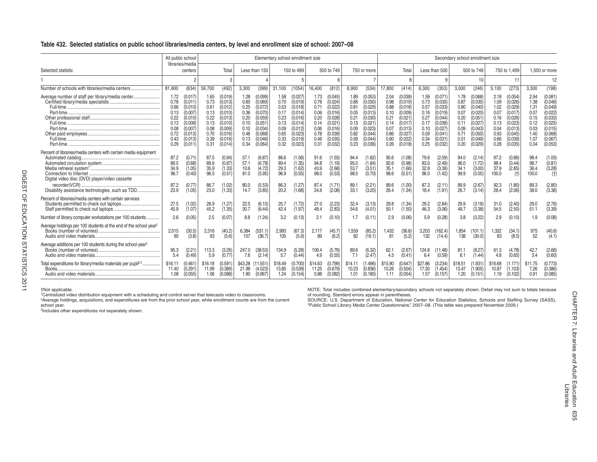### **Table 432. Selected statistics on public school libraries/media centers, by level and enrollment size of school: 2007–08**

|                                                                                                                   | All public school                                                            |                                                                                                     |                                                                              |                                                                                                           |                                                                              |                                                                                             | Elementary school enrollment size                                            |                                                                                                           |                                                                              |                                                                                                 |                                                                              |                                                                                                          |                                                                              |                                                                                                            |                                                                              |                                                                                                            | Secondary school enrollment size                                             |                                                                                                            |                                                                              |                                                                                                    |                                                                              |                                                                                                  |
|-------------------------------------------------------------------------------------------------------------------|------------------------------------------------------------------------------|-----------------------------------------------------------------------------------------------------|------------------------------------------------------------------------------|-----------------------------------------------------------------------------------------------------------|------------------------------------------------------------------------------|---------------------------------------------------------------------------------------------|------------------------------------------------------------------------------|-----------------------------------------------------------------------------------------------------------|------------------------------------------------------------------------------|-------------------------------------------------------------------------------------------------|------------------------------------------------------------------------------|----------------------------------------------------------------------------------------------------------|------------------------------------------------------------------------------|------------------------------------------------------------------------------------------------------------|------------------------------------------------------------------------------|------------------------------------------------------------------------------------------------------------|------------------------------------------------------------------------------|------------------------------------------------------------------------------------------------------------|------------------------------------------------------------------------------|----------------------------------------------------------------------------------------------------|------------------------------------------------------------------------------|--------------------------------------------------------------------------------------------------|
| Selected statistic                                                                                                |                                                                              | libraries/media<br>centers                                                                          |                                                                              | Total                                                                                                     |                                                                              | Less than 150                                                                               |                                                                              | 150 to 499                                                                                                |                                                                              | 500 to 749                                                                                      |                                                                              | 750 or more                                                                                              |                                                                              | Total                                                                                                      |                                                                              | Less than 500                                                                                              |                                                                              | 500 to 749                                                                                                 |                                                                              | 750 to 1.499                                                                                       |                                                                              | 1.500 or more                                                                                    |
|                                                                                                                   |                                                                              |                                                                                                     |                                                                              |                                                                                                           |                                                                              |                                                                                             |                                                                              |                                                                                                           |                                                                              |                                                                                                 |                                                                              |                                                                                                          |                                                                              |                                                                                                            |                                                                              | q                                                                                                          |                                                                              | 10                                                                                                         |                                                                              | 11                                                                                                 |                                                                              | 12                                                                                               |
| Number of schools with libraries/media centers.                                                                   | 81,900                                                                       | (634)                                                                                               | 59.700                                                                       | (492)                                                                                                     | 3,300                                                                        | (399)                                                                                       | 31,100                                                                       | (1054)                                                                                                    | 16.400                                                                       | (812)                                                                                           | 8,900                                                                        | (534)                                                                                                    | 17,800                                                                       | (414)                                                                                                      | 6,300                                                                        | (353)                                                                                                      | 3,000                                                                        | (246)                                                                                                      | 5,100                                                                        | (273)                                                                                              | 3,300                                                                        | (198)                                                                                            |
| Average number of staff per library/media center<br>Part-time                                                     | 1.72<br>0.78<br>0.66<br>0.13<br>0.22<br>0.13<br>0.08<br>0.72<br>0.43<br>0.29 | (0.017)<br>(0.011)<br>(0.010)<br>0.007<br>(0.010)<br>0.008<br>0.007<br>(0.013)<br>(0.013)<br>(0.011 | 1.65<br>0.73<br>0.61<br>0.13<br>0.22<br>0.13<br>0.08<br>0.70<br>0.39<br>0.31 | (0.019)<br>(0.013)<br>(0.012)<br>(0.010)<br>(0.013)<br>(0.010<br>(0.009)<br>(0.016)<br>(0.016)<br>(0.014) | 1.28<br>0.60<br>0.25<br>0.36<br>0.20<br>0.10<br>0.10<br>0.48<br>0.13<br>0.34 | 0.099<br>0.069<br>0.072<br>(0.070<br>0.059<br>0.051<br>0.034<br>0.068<br>(0.046)<br>(0.064) | 1.58<br>0.70<br>0.53<br>0.17<br>0.23<br>0.13<br>0.09<br>0.65<br>0.33<br>0.32 | (0.027<br>(0.019)<br>(0.018)<br>(0.014)<br>(0.016)<br>(0.014)<br>(0.012)<br>(0.023)<br>(0.019)<br>(0.023) | 1.73<br>0.76<br>0.71<br>0.06<br>0.20<br>0.14<br>0.06<br>0.78<br>0.46<br>0.31 | 0.045<br>0.024<br>0.022<br>(0.016)<br>0.028<br>0.021<br>(0.016)<br>0.039)<br>(0.035)<br>(0.032) | 1.89<br>0.86<br>0.81<br>0.05<br>0.21<br>0.13<br>0.09<br>0.82<br>0.59<br>0.23 | (0.053)<br>(0.030)<br>(0.029)<br>(0.013)<br>(0.030)<br>0.021<br>(0.023)<br>(0.044)<br>(0.044)<br>(0.036) | 2.04<br>0.98<br>0.88<br>0.10<br>0.21<br>0.14<br>0.07<br>0.86<br>0.60<br>0.26 | (0.039)<br>(0.019)<br>(0.018)<br>(0.009)<br>(0.021)<br>(0.017)<br>(0.013)<br>(0.027)<br>(0.022)<br>(0.018) | 1.59<br>0.73<br>0.57<br>0.16<br>0.27<br>0.17<br>0.10<br>0.59<br>0.34<br>0.25 | (0.071)<br>(0.035)<br>(0.033)<br>(0.019)<br>(0.044)<br>(0.039)<br>(0.027)<br>(0.041)<br>(0.031)<br>(0.032) | 1.78<br>0.87<br>0.80<br>0.07<br>0.20<br>0.11<br>0.09<br>0.71<br>0.51<br>0.20 | (0.068)<br>(0.035)<br>(0.040)<br>(0.020)<br>(0.051)<br>(0.027)<br>(0.043)<br>(0.050)<br>(0.049)<br>(0.029) | 2.18<br>1.09<br>1.02<br>0.07<br>0.16<br>0.13<br>0.04<br>0.93<br>0.66<br>0.28 | (0.054)<br>(0.026)<br>0.029<br>0.017<br>0.026<br>0.023<br>(0.013)<br>(0.045)<br>(0.039)<br>(0.035) | 2.94<br>1.38<br>1.31<br>0.07<br>0.15<br>0.12<br>0.03<br>1.40<br>1.07<br>0.34 | (0.081)<br>(0.046)<br>(0.049)<br>0.022<br>0.033<br>0.025<br>0.015<br>0.068<br>(0.067)<br>(0.053) |
| Percent of libraries/media centers with certain media equipment<br>Digital video disc (DVD) player/video cassette | 87.2<br>89.5<br>34.9<br>96.7                                                 | (0.71)<br>(0.68)<br>(1.05)<br>(0.40)                                                                | 87.5<br>89.9<br>35.9<br>96.5                                                 | (0.94)<br>(0.87)<br>(1.33)<br>(0.51)                                                                      | 57.1<br>57.1<br>10.6<br>81.0                                                 | (6.87)<br>(6.78)<br>(4.72)<br>(5.95)                                                        | 86.6<br>89.4<br>29.3<br>96.9                                                 | (1.56)<br>1.35<br>1.62<br>(0.55)                                                                          | 91.6<br>94.8<br>43.9<br>98.0                                                 | (1.55)<br>(1.19)<br>(2.68)<br>$\sqrt{0.53}$                                                     | 94.4<br>95.0<br>53.7<br>98.5                                                 | (1.62)<br>(1.84)<br>(3.51)<br>(0.70)                                                                     | 90.6<br>92.6<br>35.1<br>98.6                                                 | (1.08)<br>0.98<br>1.66<br>(0.51                                                                            | 79.6<br>83.0<br>32.8<br>96.0                                                 | (2.59)<br>(2.49)<br>(3.39)<br>1.42                                                                         | 94.0<br>96.0<br>34.1<br>99.9                                                 | (2.14)<br>(1.72)<br>(3.00)<br>(0.05)                                                                       | 97.2<br>98.4<br>37.9<br>100.0                                                | (0.86)<br>(0.44)<br>(2.85)                                                                         | 98.4<br>98.7<br>36.4<br>100.0                                                | (1.05)<br>(0.81)<br>(3.28)<br>(t)                                                                |
| Disability assistance technologies, such as TDD                                                                   | 87.2<br>23.9                                                                 | (0.77)<br>(1.05)                                                                                    | 86.7<br>23.0                                                                 | (1.02)<br>(1.33)                                                                                          | 80.0<br>14.7                                                                 | (5.53)<br>(3.85)                                                                            | 86.3<br>20.2                                                                 | (1.27<br>(1.68)                                                                                           | 87.4<br>24.6                                                                 | (1.71)<br>(2.08)                                                                                | 89.<br>33.1                                                                  | (2.21)<br>(3.20)                                                                                         | 89.6<br>26.4                                                                 | (1.00)<br>1.34                                                                                             | 87.3<br>18.4                                                                 | (2.11)<br>(1.91)                                                                                           | 89.9<br>26.7                                                                 | (2.67)<br>(3.14)                                                                                           | 92.3<br>28.4                                                                 | (1.80)<br>(2.06)                                                                                   | 89.3<br>38.0                                                                 | (2.80)<br>(3.38)                                                                                 |
| Percent of libraries/media centers with certain services                                                          | 27.5<br>45.9                                                                 | (1.02)<br>(1.07)                                                                                    | 26.9<br>45.2                                                                 | (1.27)<br>(1.35)                                                                                          | 22.5<br>30.7                                                                 | (6.15)<br>(6.44)                                                                            | 25.7<br>42.4                                                                 | (1.72)<br>(1.97)                                                                                          | 27.0<br>48.4                                                                 | (2.23)<br>(2.83)                                                                                | 32.4<br>54.6                                                                 | (3.13)<br>(4.01)                                                                                         | 29.8<br>50.1                                                                 | (1.34)<br>(1.50)                                                                                           | 29.2<br>46.3                                                                 | (2.84)<br>(3.06)                                                                                           | 29.9<br>49.7                                                                 | (3.18)<br>(3.38)                                                                                           | 31.0<br>54.5                                                                 | (2.40)<br>(2.50)                                                                                   | 29.0<br>51.1                                                                 | (2.76)<br>(3.39)                                                                                 |
| Number of library computer workstations per 100 students.                                                         | 2.6                                                                          | (0.05)                                                                                              | 2.5                                                                          | (0.07)                                                                                                    | 8.8                                                                          | (1.24)                                                                                      | 3.2                                                                          | (0.13)                                                                                                    | 2.1                                                                          | (0.10)                                                                                          |                                                                              | (0.11)                                                                                                   | 2.9                                                                          | (0.06)                                                                                                     | 5.9                                                                          | (0.28)                                                                                                     | 3.8                                                                          | (0.22)                                                                                                     | 2.9                                                                          | (0.10)                                                                                             | 1.9                                                                          | (0.08)                                                                                           |
| Average holdings per 100 students at the end of the school year <sup>2</sup>                                      | 2,015<br>90                                                                  | (30.5)<br>(3.8)                                                                                     | 2,316<br>93                                                                  | (40.2)<br>(5.6)                                                                                           | 6,384<br>157                                                                 | (531.1)<br>(36.7)                                                                           | 2,993<br>105                                                                 | (67.3)<br>(5.9)                                                                                           | 2,117<br>89                                                                  | (45.7)<br>(6.2)                                                                                 | 1,559<br>82                                                                  | (85.2)<br>(16.1)                                                                                         | 1,432<br>81                                                                  | (36.6)<br>(5.2)                                                                                            | 3,203<br>132                                                                 | (162.4)<br>(14.4)                                                                                          | 1,854<br>138                                                                 | (101.1)<br>(30.0)                                                                                          | 1,332<br>83                                                                  | (34.1)<br>(8.5)                                                                                    | 975<br>52                                                                    | (40.6)<br>(4.1)                                                                                  |
| Average additions per 100 students during the school year <sup>2</sup>                                            | 95.3<br>5.4                                                                  | (2.21)<br>(0.49)                                                                                    | 113.3<br>5.9                                                                 | (3.26)<br>(0.77)                                                                                          | 247.0<br>7.6                                                                 | (38.53)<br>(2.14)                                                                           | 134.9<br>5.7                                                                 | (5.28)<br>(0.44)                                                                                          | 106.4<br>4.9                                                                 | (5.76)<br>(0.55)                                                                                | 89.6<br>7.1                                                                  | (6.32)<br>(2.47)                                                                                         | 62.1<br>4.5                                                                  | (2.67)<br>(0.41)                                                                                           | 124.8<br>6.4                                                                 | (11.48)<br>(0.59)                                                                                          | 81.1<br>6.1                                                                  | (8.27)<br>(1.44)                                                                                           | 61.3<br>4.8                                                                  | (4.78)<br>(0.65)                                                                                   | 42.7<br>3.4                                                                  | (2.66)<br>(0.60)                                                                                 |
| Total expenditures for library/media materials per pupil <sup>2.3</sup><br>Books.                                 | \$16.11<br>11.40<br>1.08                                                     | (0.461<br>0.291<br>(0.055)                                                                          | \$16.18<br>11.99<br>1.06                                                     | (0.591)<br>(0.389)<br>(0.088)                                                                             | \$43.28<br>21.99<br>1.90                                                     | 11.551<br>(4.023)<br>(0.967)                                                                | \$18.49<br>13.80<br>1.24                                                     | (0.700)<br>(0.539)<br>(0.154)                                                                             | \$14.63<br>11.25<br>0.88                                                     | (0.799)<br>(0.679)<br>(0.082)                                                                   | \$14.11<br>10.23<br>1.01                                                     | (1.496)<br>(0.836)<br>(0.180)                                                                            | \$15.90<br>10.26<br>1.11                                                     | (0.647)<br>(0.504)<br>(0.054)                                                                              | \$27.86<br>17.30<br>1.57                                                     | (3.234)<br>(1.454)<br>(0.157)                                                                              | \$18.51<br>13.47<br>1.20                                                     | (1.931)<br>(1.905)<br>(0.151)                                                                              | \$16.68<br>10.87<br>1.19                                                     | (1.171)<br>(1.103)<br>(0.102)                                                                      | \$11.75<br>7.26<br>0.91                                                      | (0.773<br>0.386<br>(0.085)                                                                       |

NOTE: Total includes combined elementary/secondary schools not separately shown. Detail may not sum to totals because<br><sup>1</sup>Centralized video distribution equipment with a scheduling and control server that telecasts video to

school year.<br>
"Public School Library Media Center Questionnaire," 2007–08. (This table was prepared November 2009.)<br>
3Includes other expenditures not separately shown.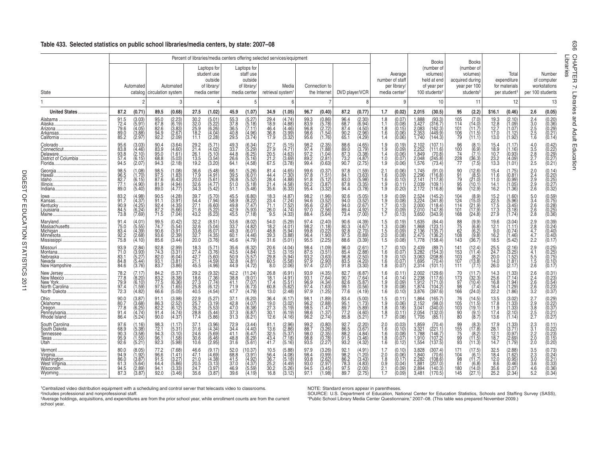### **Table 433. Selected statistics on public school libraries/media centers, by state: 2007–08**

|                                              |                                                                                                    |                                              |                                                             |                                              | Percent of libraries/media centers offering selected services/equipment |                                              |                                                                    |                                                 |                                                      |                                              |                                                                               |                                              |                                                                                   |                                                                       |                                                                         |                                                        | <b>Books</b>                                                                        |                                            | <b>Books</b>                                                                       |                                               |                                                                               |                                                             |                                                                            |                               |
|----------------------------------------------|----------------------------------------------------------------------------------------------------|----------------------------------------------|-------------------------------------------------------------|----------------------------------------------|-------------------------------------------------------------------------|----------------------------------------------|--------------------------------------------------------------------|-------------------------------------------------|------------------------------------------------------|----------------------------------------------|-------------------------------------------------------------------------------|----------------------------------------------|-----------------------------------------------------------------------------------|-----------------------------------------------------------------------|-------------------------------------------------------------------------|--------------------------------------------------------|-------------------------------------------------------------------------------------|--------------------------------------------|------------------------------------------------------------------------------------|-----------------------------------------------|-------------------------------------------------------------------------------|-------------------------------------------------------------|----------------------------------------------------------------------------|-------------------------------|
| State                                        | Automated<br>catalog                                                                               | circulation system                           | Automated                                                   |                                              | Laptops for<br>student use<br>outside<br>of library/<br>media center    |                                              | Laptops for<br>staff use<br>outside<br>of library/<br>media center | retrieval system <sup>1</sup>                   | Media                                                |                                              | Connection to<br>the Internet                                                 | DVD player/VCR                               |                                                                                   |                                                                       | Average<br>number of staff<br>per library/<br>media center <sup>2</sup> |                                                        | (number of<br>volumes)<br>held at end<br>of year per<br>$100$ students <sup>3</sup> |                                            | (number of<br>volumes)<br>acquired during<br>year per 100<br>students <sup>3</sup> |                                               | Total<br>expenditure<br>for materials<br>per student <sup>3</sup>             | per 100 students                                            | Number<br>of computer<br>workstations                                      | Librarie<br>CHAPTE<br>고<br>Ņ. |
|                                              | $\overline{2}$                                                                                     |                                              | 3                                                           |                                              |                                                                         |                                              | 5                                                                  |                                                 | 6                                                    |                                              |                                                                               |                                              | 8                                                                                 |                                                                       | 9                                                                       |                                                        | 10                                                                                  |                                            | 11                                                                                 |                                               | 12                                                                            |                                                             | 13                                                                         | Libraries                     |
|                                              | 87.2<br>(0.71)                                                                                     | 89.5                                         | (0.68)                                                      | 27.5                                         | (1.02)                                                                  | 45.9                                         | (1.07)                                                             | 34.9                                            | (1.05)                                               | 96.7                                         | (0.40)                                                                        | 87.2                                         | (0.77)                                                                            | 1.7                                                                   | (0.02)                                                                  | 2,015                                                  | (30.5)                                                                              | 95                                         | (2.2)                                                                              | \$16.1                                        | (0.46)                                                                        | 2.6                                                         | (0.05)                                                                     |                               |
|                                              | 91.5<br>(3.03)<br>72.4<br>5.91<br>79.6<br>(4.05)<br>89.0<br>(3.88)<br>85.2<br>(2.97                | 95.0<br>67.8<br>82.6<br>94.9<br>92.2         | $(2.23)$<br>$(6.19)$<br>$(3.83)$<br>$(2.67)$<br>(2.09)      | 30.2<br>32.0<br>25.9<br>18.2<br>11.1         | (5.01)<br>$\binom{5.22}{6.26}$<br>(4.04)<br>(2.28)                      | 55.3<br>37.8<br>36.5<br>40.8<br>29.5         | $(5.27)$<br>$(5.18)$<br>(7.11)<br>$(4.96)$<br>$(3.74)$             | 29.4<br>$\frac{18.9}{46.4}$<br>36.8<br>17.9     | (4.74)<br>$(4.88)$<br>$(4.46)$<br>$(3.99)$<br>(3.32) | 99.3<br>83.9<br>96.8<br>98.6<br>95.6         | (0.86)<br>(5.78)<br>(2.72)<br>(1.54)<br>(1.76)                                | 96.4<br>68.7<br>87.4<br>90.2<br>65.1         | $(2.30)$<br>$(6.94)$<br>$(4.50)$<br>$\binom{2.96}{4.29}$                          | $\begin{array}{c} 1.8 \\ 1.1 \\ 1.8 \end{array}$<br>1.6<br>1.4        | $(0.07)$<br>$(0.08)$<br>$(0.15)$<br>(0.06)<br>(0.06)                    | 1,888<br>3,427<br>2,083<br>2,353<br>1,740              | (93.3)<br>(316.7)<br>(162.3)<br>(449.9)<br>(144.3)                                  | 105<br>114<br>101<br>106<br>79             | $(7.0)$<br>$(14.0)$<br>$(11.7)$<br>$\binom{11.5}{11.1}$                            | 19.3<br>12.8<br>12.7<br>17.0<br>13.0          | (2.10)<br>$\begin{array}{c} 7.09 \\ 1.07 \end{array}$<br>1.12)<br>1.92        | $2.4$<br>$3.0$<br>$2.5$<br>$2.5$<br>$1.\overline{6}$        | $(0.20)$<br>$(0.36)$<br>$(0.29)$<br>$(0.21)$<br>(0.14)                     | and<br>Adult                  |
| Delaware.<br>District of Columbia            | (3.03)<br>95.6<br>83.8<br>(4.46)<br>(2.10)<br>93.8<br>57.4<br>(6.15)<br>94.5<br>(2.07              | 90.4<br>83.9<br>95.0<br>68.8<br>94.3         | $(3.64)$<br>$(4.60)$<br>$(1.61)$<br>$(5.03)$<br>$(2.18)$    | 21.4<br>26.1<br>13.5<br>19.2                 | (5.71)<br>$(4.02)$<br>(5.10)<br>$(3.54)$<br>$(3.20)$                    | 49.3<br>33.7<br>44.8<br>26.6<br>64.1         | $(6.34)$<br>$(5.29)$<br>$(6.25)$<br>$(5.16)$<br>(4.58)             | 27.7<br>$\frac{27.9}{20.5}$<br>21.2<br>67.5     | (5.15)<br>4.71<br>$\binom{4.63}{3.69}$<br>(3.78)     | 98.2<br>97.4<br>$\frac{97.2}{89.2}$<br>99.4  | (2.35<br>(1.88<br>(1.04<br>(2.81)                                             | 88.6<br>89.0<br>87.3<br>73.2<br>90.7         | $(4.65)$<br>$(3.79)$<br>$\begin{array}{c} (3.38) \\ (4.87) \end{array}$<br>(2.75) | $\frac{1.9}{1.9}$<br>1.4<br>1.0<br>1.9                                | $(0.09)$<br>$(0.06)$<br>$(0.07)$<br>(0.06)                              | 2,102<br>2,252<br>1.849<br>2,048<br>1,576              | (107.1)<br>(111.6)<br>$(70.8)$<br>$(245.8)$<br>(73.4)                               | 96<br>$\frac{100}{74}$<br>$\frac{228}{77}$ | $(6.9)$<br>$(7.1)$<br>$(36.3)$<br>$(7.5)$                                          | 15.4<br>18.9<br>10.7<br>23.2<br>13.3          | .17<br>$\begin{pmatrix} 1.16 \ 0.93 \ 4.09 \end{pmatrix}$<br>(1.01)           | 4.0<br>$\frac{3.5}{2.8}$<br>2.5                             | $(0.42)\n(0.22)\n(0.29)\n(0.27)\n(0.21)$                                   | Education                     |
|                                              | 98.5<br>(1.08)<br>96.5<br>1.70<br>82.7<br>(6.15)<br>77.1<br>(4.90)<br>89.0<br>(5.40)               | 98.5<br>97.5<br>87.6<br>81.9<br>89.0         | (1.08)<br>$(1.83)$<br>$(6.43)$<br>$(4.94)$<br>$(4.77)$      | 36.6<br>17.9<br>20.0<br>32.6<br>34.3         | (5.48)<br>4.91<br>$\binom{6.61}{4.77}$<br>(5.42)                        | 66.1<br>39.5<br>26.8<br>51.0<br>51.1         | $(5.26)$<br>$(6.01)$<br>$(5.52)$<br>$(5.18)$<br>(5.48)             | 81.4<br>44.4<br>28.4<br>21.4<br>35.6            | (4.65)<br>(7.30)<br>$(4.88)$<br>$(4.58)$<br>$(6.33)$ | 99.6<br>97.8<br>91.8<br>$\frac{92.2}{95.4}$  | (0.37)<br>(1.51)<br>$\begin{array}{c} (5.12) \\ (3.87) \\ (3.32) \end{array}$ | 97.8<br>84.1<br>83.0<br>87.8<br>94.4         | (1.59)(3.63)<br>$(5.98)$<br>$(3.35)$<br>$(3.78)$                                  | $^{2.1}_{1.6}$<br>$\frac{1.6}{1.9}$<br>1.9                            | (0.06)<br>$(0.09)$<br>$(0.10)$<br>(0.11)<br>(0.20)                      | 1,745<br>2.296<br>$2,141$<br>$2,039$<br>$2,172$        | (91.0)<br>(116.8)<br>(117.8)<br>(109.1)<br>(116.8)                                  | 90<br>91<br>79<br>95<br>96                 | (12.6)<br>$(8.5)$<br>(21.0)<br>(10.1<br>(12.9)                                     | 15.4<br>11.6<br>11.0<br>14.1<br>16.2          | (.75)<br>0.81<br>$\overset{(6.99)}{(1.05)} \ (1.36)$                          | 2.0<br>2.4<br>$\frac{2.9}{2.8}$                             | (0.14)<br>$(0.20)$<br>$(0.25)$<br>$(0.27)$<br>$(0.32)$                     |                               |
|                                              | $(4.98)$<br>$(4.37)$<br>83.2<br>91.7<br>4.25<br>90.9<br>(6.24<br>84.5<br>(7.69)<br>73.8            | 90.5<br>91.1<br>92.4<br>87.2<br>71.5         | $(4.28)$<br>$(3.91)$<br>(4.35)<br>(5.66)<br>(7.04)          | 39.7<br>54.4<br>27.1<br>21.6<br>43.2         | (5.70)<br>$\binom{7.94}{6.60}$<br>$(5.22)$<br>$(6.23)$                  | 45.5<br>58.9<br>49.8<br>$42.9$<br>$45.5$     | $(6.80)$<br>$(8.22)$<br>(7.47)<br>$\binom{6.93}{7.18}$             | 18.3<br>23.4<br>71.1<br>26.0<br>9.5             | (4.87)<br>7.24<br>(7.52)<br>(4.74)<br>(4.33)         | 98.2<br>94.6<br>95.6<br>97.0<br>88.4         | (1.96)(3.52)<br>(2.87)<br>(2.56)<br>$\sqrt{5.64}$                             | 92.6<br>94.0<br>94.0<br>89.4<br>73.4         | $(5.05)$<br>$(3.52)$<br>2.67<br>4.92<br>(7.00)                                    | $\begin{array}{c} 1.9 \\ 1.9 \\ 1.7 \end{array}$<br>$\frac{1.2}{1.7}$ | (0.09)<br>(0.08)<br>(0.13)<br>$(0.09)$<br>$(0.13)$                      | 2,524<br>3,224<br>2,000<br>2.010<br>3,650              | (145.2)<br>(341.8)<br>(118.4)<br>(147.8)<br>(343.9)                                 | 104<br>124<br>114<br>101<br>168            | $(8.9)$<br>(15.0)<br>$\binom{21.9}{17.9}$<br>(24.8)                                | 15.2<br>$\frac{22.5}{17.5}$<br>17.3<br>27.9   | $\begin{array}{c} (1.60) \\ (5.96) \\ (3.45) \end{array}$<br>(3.18)<br>(1.74) | $\frac{5.0}{3.4}$<br>2.6<br>2.6<br>2.8                      | (0.59)(0.75)<br>0.28<br>(0.25)                                             |                               |
| Massachusetts                                | 91.4<br>(4.01<br>75.0<br>(5.55)<br>(4.39)<br>83.4<br>92.2<br>(2.68)<br>75.8<br>(4.10)              | 99.5<br>74.7<br>90.6<br>93.6<br>85.6         | (0.42)<br>(5.54)<br>(3.91<br>$\binom{2.39}{3.44}$           | $32.2$<br>$32.6$<br>33.6<br>32.7<br>20.0     | (8.51)<br>(5.04)<br>$(4.35)$<br>$(3.76)$                                | 53.6<br>33.7<br>49.3<br>60.1<br>45.6         | $(8.02)$<br>$(4.82)$<br>(6.01)<br>$(4.46)$<br>$(4.79)$             | 54.0<br>18.2<br>48.8<br>39.3<br>31.6            | (5.29)<br>4.01<br>(5.94)<br>3.88<br>(5.01)           | 97.4<br>98.2<br>99.8<br>96.4<br>95.5         | (2.40<br>(1.18<br>$(0.22)$<br>$(1.90)$<br>$(2.25)$                            | 90.6<br>80.3<br>92.8<br>97.5<br>88.6         | (4.39)<br>(4.67<br>(2.70)<br>$\binom{0.89}{0.39}$                                 | $\begin{array}{c} 1.5 \\ 1.3 \\ 1.5 \\ 2.0 \\ 1.5 \end{array}$        | (0.19)<br>(0.08)<br>(0.09)<br>(0.08)<br>(0.08)                          | 1,635<br>1,868<br>2,136<br>2.475<br>$\overline{1,778}$ | (84.4)<br>(123.1)<br>(135.7)<br>(136.2)<br>(158.4)                                  | 88<br>75<br>62<br>108<br>143               | $(9.9)$<br>$(6.8)$<br>$(6.2)$<br>$(9.8)$<br>$(36.7)$                               | 19.6<br>12.1<br>9.0<br>16.2<br>18.5           | (3.04)<br>1.11<br>(0.74)<br>(1.46)<br>(5.42)                                  | $^{2.9}_{2.8}$<br>4.7<br>4.7<br>2.2                         | $(0.39)$<br>$(0.24)$<br>0.40<br>0.40<br>(0.17)                             |                               |
| New Hampshire                                | 2.84<br>93.9<br>(3.93)<br>71.0<br>(5.27<br>83.1<br>84.8<br>(5.44)<br>(3.76)<br>84.6                | 92.8<br>74.3<br>82.0<br>93.1<br>83.7         | $(2.99)$<br>$(3.31)$<br>(6.04<br>(3.81<br>(3.86)            | 18.3<br>27.4<br>42.7<br>21.1<br>45.5         | (5.71)<br>(3.76)<br>(5.60)<br>$(4.59)$<br>$(4.96)$                      | 35.6<br>43.5<br>$\frac{50.9}{32.8}$<br>44.9  | $(6.32)$<br>$(4.84)$<br>$(5.57)$<br>$(4.81)$<br>$(4.72)$           | 20.6<br>$\frac{78.8}{6}$<br>29.8<br>60.5<br>8.0 | (4.04)<br>(3.15)<br>(5.94)<br>(5.58)<br>(2.06)       | 98.4<br>87.5<br>93.2<br>97.9<br>97.4         | (1.09)(3.51)<br>(3.63)<br>$\binom{2.90}{2.07}$                                | 96.0<br>85.4<br>96.8<br>83.5<br>91.8         | (2.61)<br>2.88<br>2.50<br>$\begin{array}{c} (4.20) \\ (3.30) \end{array}$         | 1.7<br>1.6<br>1.9<br>1.6<br>1.8                                       | (0.10)<br>(0.07)<br>(0.10)<br>(0.07)<br>0.07                            | 2,439<br>3,282<br>3,063<br>1,695<br>2,314              | (89.7)<br>(154.3)<br>(208.8)<br>(70.4)<br>(101.1)                                   | 141<br>153<br>103<br>107<br>111            | $(12.4)$<br>$(11.4)$<br>$(8.2)$<br>(13.8)<br>(7.1)                                 | $^{25.5}_{24.7}$<br>20.0<br>14.0<br>26.0      | (2.16)<br>$\begin{array}{c} (3.25) \\ (1.52) \\ (1.81) \\ (2.17) \end{array}$ | 2.9<br>$\overline{4.1}$<br>$\frac{5.5}{1.5}$<br>2.6         | $\begin{array}{c} (0.25) \ (0.25) \ (0.75) \end{array}$<br>(0.10<br>(0.17) |                               |
| New Jersey<br>North Carolina<br>North Dakota | (7.17)<br>78.2<br>77.8<br>18.20)<br>79.9<br>(6.10)<br>97.4<br>(1.59)<br>(4.82)<br>72.3             | 84.2<br>83.2<br>77.5<br>97.5<br>66.6         | (5.37)<br>8.38<br>$(6.36)$<br>$(1.65)$<br>$(5.05)$          | 29.2<br>18.6<br>27.3<br>25.8<br>40.5         | $(9.32)$<br>$(7.36)$<br>$(7.74)$<br>$(6.12)$<br>(4.54)                  | 42.2<br>38.8<br>41.1<br>71.9<br>47.7         | 11.24<br>(9.01)<br>(7.07)<br>$(6.73)$<br>$(4.79)$                  | 26.8<br>18.1<br>17.4<br>60.8<br>13.0            | (6.91<br>4.91<br>(5.51)<br>$(5.62)$<br>$(2.48)$      | 93.9<br>93.1<br>$\frac{96.9}{97.4}$<br>97.9  | $(4.35)$<br>$(7.64)$<br>$(4.34)$<br>$(1.63)$<br>$(1.25)$                      | 82.7<br>90.7<br>82.6<br>99.1<br>77.6         | 6.87<br>7.64<br>$(5.87)$<br>$(0.56)$<br>$(4.19)$                                  | $1.6$<br>$1.4$<br>$1.9$<br>$1.9$<br>$1.6$                             | (0.11)<br>(0.14)<br>(0.09)<br>(0.10)                                    | 2,002<br>2,238<br>1.912<br>1,874<br>3,876              | (129.6)<br>(117.6)<br>(171.0)<br>(104.2)<br>(397.6)                                 | 70<br>173<br>97<br>98<br>166               | (11.7)<br>$(32.3)$<br>$(10.4)$<br>$(7.4)$<br>(24.0)                                | 14.3<br>25.6<br>16.8<br>16.4<br>22.2          | 1.33<br>7.14<br>$\begin{array}{c} 1.94 \\ 1.29 \\ 1.86 \end{array}$           | $^{2.6}_{2.4}$<br>2.6<br>$2.\overline{6}$<br>3.2            | (0.31)<br>0.23<br>(0.54<br>(0.54<br>(0.23                                  |                               |
| Pennsylvania<br>Rhode Island                 | 3.87<br>90.0<br>80.7<br>3.68<br>(6.25)<br>77.8<br>(4.74)<br>91.4<br>(5.24)<br>86.4                 | 91.1<br>86.3<br>82.2<br>91.4<br>90.0         | $(3.98)$<br>$(2.52)$<br>(6.12)<br>$(4.74)$<br>$(4.37)$      | 22.9<br>25.7<br>35.2<br>28.8<br>17.4         | (5.27)<br>3.19<br>$(5.53)$<br>$(5.44)$<br>$(5.86)$                      | 37.1<br>42.8<br>47.0<br>$\frac{37.3}{31.3}$  | $(6.20)$<br>$(4.07)$<br>$(6.38)$<br>$(6.87)$<br>$(6.21)$           | 36.4<br>19.0<br>27.3<br>30.1<br>12.6            | (6.17)<br>(3.02)<br>(5.19)<br>$(6.19)$<br>$(4.16)$   | 98.1<br>96.2<br>98.5<br>$\frac{98.6}{96.2}$  | (1.89)<br>(2.88)<br>1.47<br>$\binom{1.37}{2.74}$                              | 83.4<br>95.1<br>89.7<br>77.2<br>85.8         | 5.00<br>1.73<br>$\begin{array}{c} 5.89 \\ (4.60) \\ (5.21) \end{array}$           | $\begin{array}{c} 1.5 \\ 1.9 \\ 1.8 \end{array}$<br>$\frac{1.8}{1.7}$ | (0.11)<br>(0.06)<br>(0.18)<br>(0.11)<br>(0.08)                          | 1,864<br>2,152<br>3,041<br>2,054<br>1,705              | (165.7)<br>(98.0)<br>(340.0)<br>(132.0)<br>(85.1)                                   | 76<br>105<br>103<br>$\frac{90}{80}$        | (14.5)<br>(11.5)<br>(19.1)<br>$\binom{9.1}{8.7}$                                   | 13.5<br>17.8<br>11.9<br>17.4<br>13.6          | 3.02<br>$(1.33)$<br>$(1.33)$<br>$(2.10)$<br>$(1.14)$                          | 2.7<br>2.9<br>3.8<br>$\frac{2.5}{2.7}$                      | (0.29)<br>0.22<br>0.37<br>$\begin{array}{c} 0.21 \\ 0.27 \end{array}$      |                               |
|                                              | 97.6<br>(1.16)<br>(5.38)<br>68.9<br>(3.58)<br>90.3<br>$(1.55)$<br>(5.21)<br>95.9<br>92.6           | 98.3<br>72.1<br>94.3<br>96.1<br>92.3         | (1.17<br>(5.31<br>(3.10)<br>$(1.58)$<br>$(5.98)$            | 37.1<br>31.6<br>24.6<br>30.6<br>10.6         | $(3.96)$<br>$(4.34)$<br>$(5.69)$<br>$(6.46)$<br>$(2.95)$                | 72.9<br>34.4<br>41.1<br>48.8<br>31.6         | (3.44)<br>(4.40)<br>(6.47)<br>$(6.29)$<br>$(5.61)$                 | 81.1<br>13.6<br>32.5<br>$43.4$<br>$41.7$        | (2.96)<br>(2.86)<br>(5.37)<br>$(7.18)$<br>$(5.16)$   | 99.2<br>88.7<br>98.0<br>$\frac{98.8}{93.5}$  | $(0.80)$<br>$(3.26)$<br>$(2.35)$<br>$(0.78)$<br>$(2.27)$                      | 92.7<br>86.5<br>88.2<br>$\frac{91.5}{93.2}$  | (2.20<br>3.67<br>4.84<br>$(3.46)$<br>$(4.32)$                                     | 2.0<br>1.6<br>1.6<br>$\frac{1.8}{1.6}$                                | (0.03)<br>(0.10)<br>(0.08)<br>$(0.07)$<br>$(0.12)$                      | 1,859<br>3,321<br>1,788<br>$1,910$<br>$1,554$          | (70.4<br>(221.1)<br>(146.7)<br>(107.2)<br>(137.5)                                   | $\frac{99}{155}$<br>$\frac{99}{93}$        | (8.3)<br>(17.8)<br>$(8.2)$<br>(11.5)<br>(11.3)                                     | 17.9<br>28.1<br>12.1<br>18.7<br>14.7          | $(1.33)$<br>$(3.71)$<br>0.97<br>(2.69)<br>(1.79)                              | $2.3$<br>$3.1$<br>$2.2$<br>2.0<br>$\overline{2.0}$          | (0.11)<br>0.22<br>0.23<br>(0.15)<br>(0.20)                                 |                               |
| Virginia                                     | (8.05)<br>80.0<br>1.92<br>94 9<br>3.87<br>86.0<br>61.3<br>5.64<br>(2.89)<br>94.5<br>87.3<br>(3.87) | 77.2<br>96.6<br>91.5<br>64.4<br>94.1<br>92.0 | $(7.68)$<br>$(1.41)$<br>(3.27<br>(5.86)<br>(3.33)<br>(3.46) | 46.6<br>47.1<br>21.0<br>20.5<br>24.7<br>35.6 | (9.17)<br>(4.69)<br>(4.38)<br>(3.13)<br>(3.97)<br>(3.87)                | 52.0<br>68.8<br>41.5<br>37.0<br>46.9<br>39.6 | 10.37<br>$(3.91)$<br>$(4.92)$<br>$(4.37)$<br>(5.59)<br>(4.19)      | 10.5<br>56.4<br>36.7<br>25.2<br>30.2<br>16.8    | (5.88)<br>4.08<br>5.18<br>(4.49)<br>(5.26)<br>(3.12) | 97.9<br>98.4<br>93.8<br>93.0<br>94.5<br>97.1 | $(3.26)$<br>$(0.99)$<br>$(2.62)$<br>$(2.97)$<br>(3.45)<br>(1.98)              | 92.1<br>98.2<br>86.2<br>78.3<br>97.5<br>89.7 | (4.91)<br>(1.20)<br>(3.43)<br>(4.83)<br>(2.00)<br>(2.75)                          | 1.7<br>$\frac{2.0}{1.8}$<br>$\frac{0.9}{2.1}$<br>1.7                  | (0.10)<br>(0.06)<br>(0.17)<br>(0.04)<br>(0.09)<br>(0.09)                | 3,828<br>1,840<br>2,282<br>1,881<br>2,894<br>3,481     | (307.4)<br>(70.6)<br>(108.6)<br>(207.0)<br>(140.3)<br>(170.5)                       | 171<br>104<br>98<br>61<br>180<br>145       | (17.5)<br>$(6.1)$<br>(11.7)<br>(6.8)<br>(14.0)<br>(27.1)                           | $32.5$<br>18.4<br>12.0<br>8.6<br>35.6<br>25.2 | (2.88)<br>(1.62)<br>(1.62)<br>(0.95)<br>(0.46)<br>(2.07)<br>(2.34)            | $\frac{3.5}{2.3}$<br>$\frac{3.0}{3.0}$<br>3.6<br>4.6<br>5.2 | $(0.73)\n(0.24)\n(0.21)\n(0.33)\n(0.36)$<br>(0.34)                         |                               |

<sup>1</sup>Centralized video distribution equipment with a scheduling and control server that telecasts video to classrooms.

'Centralized video distribution equipment with a scheduling and control server that telecasts video to classrooms. MOTE: Standard errors appear in parentheses. The area for Education Statistics, Schools and Staffing Survey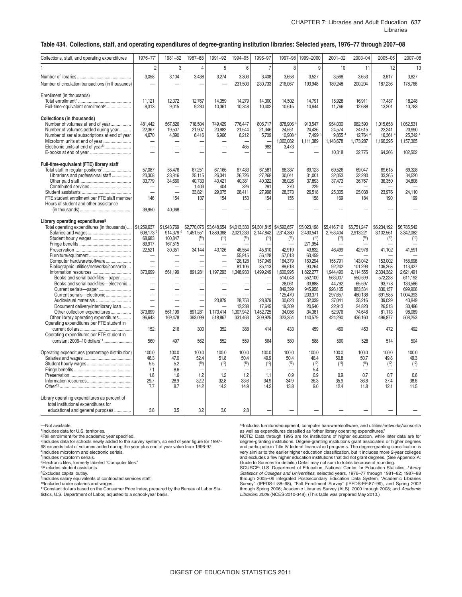#### CHAPTER 7: Libraries and Adult Education 637 Libraries

#### **Table 434. Collections, staff, and operating expenditures of degree-granting institution libraries: Selected years, 1976–77 through 2007–08**

| Collections, staff, and operating expenditures    | 1976-771                       | 1981-82                       | 1987-88                       | 1991-92                  | 1994-95                        | 1996-97                  | 1997-98           | 1999-2000         | $2001 - 02$              | 2003-04           | 2005-06           | 2007-08                  |
|---------------------------------------------------|--------------------------------|-------------------------------|-------------------------------|--------------------------|--------------------------------|--------------------------|-------------------|-------------------|--------------------------|-------------------|-------------------|--------------------------|
|                                                   | $\overline{2}$                 | 3                             | $\overline{4}$                | 5                        | 6                              | $\overline{7}$           | 8                 | 9                 | 10                       | 11                | 12                | 13                       |
|                                                   | 3,058                          | 3.104                         | 3.438                         | 3.274                    | 3,303                          | 3,408                    | 3,658             | 3,527             | 3,568                    | 3,653             | 3,617             | 3,827                    |
|                                                   |                                |                               |                               |                          |                                |                          |                   |                   |                          |                   |                   |                          |
| Number of circulation transactions (in thousands) |                                |                               |                               |                          | 231,503                        | 230,733                  | 216,067           | 193,948           | 189,248                  | 200,204           | 187,236           | 178,766                  |
| Enrollment (in thousands)                         |                                |                               |                               |                          |                                |                          |                   |                   |                          |                   |                   |                          |
|                                                   | 11,121                         | 12,372                        | 12,767                        | 14,359                   | 14.279                         | 14.300                   | 14,502            | 14.791            | 15.928                   | 16.911            | 17,487            | 18.248                   |
| Full-time-equivalent enrollment <sup>2</sup>      | 8,313                          | 9,015                         | 9,230                         | 10,361                   | 10,348                         | 10,402                   | 10,615            | 10,944            | 11,766                   | 12,688            | 13,201            | 13,783                   |
|                                                   |                                |                               |                               |                          |                                |                          |                   |                   |                          |                   |                   |                          |
| Collections (in thousands)                        |                                |                               |                               |                          |                                |                          |                   |                   |                          |                   |                   |                          |
| Number of volumes at end of year                  | 481,442                        | 567,826                       | 718,504                       | 749,429                  | 776.447                        | 806,717                  | 878,906           | 913,547           | 954,030                  | 982.590           | 1,015,658         | 1,052,531                |
| Number of volumes added during year               | 22,367                         | 19,507                        | 21,907                        | 20.982                   | 21.544                         | 21,346                   | 24,551            | 24.436            | 24,574                   | 24,615            | 22.241            | 23.990                   |
| Number of serial subscriptions at end of year     | 4,670                          | 4,890                         | 6,416                         | 6,966                    | 6,212                          | 5,709                    | 10,908            | 7,499             | 9,855                    | 12,764            | 16,361            | 25.342 4                 |
| Microform units at end of year                    | $\overline{\phantom{0}}$       |                               |                               |                          |                                |                          | 1,062,082         | 1,111,389         | 1,143,678                | 1,173,287         | 1,166,295         | 1,157,365                |
| Electronic units at end of year <sup>6</sup>      | $\overline{\phantom{0}}$       | $\overline{\phantom{0}}$      |                               |                          | 465                            | 983                      | 3,473             |                   |                          |                   |                   |                          |
|                                                   |                                |                               |                               |                          |                                |                          |                   |                   | 10,318                   | 32.775            | 64,366            | 102,502                  |
|                                                   |                                |                               |                               |                          |                                |                          |                   |                   |                          |                   |                   |                          |
| Full-time-equivalent (FTE) library staff          |                                |                               |                               |                          |                                |                          |                   |                   |                          |                   |                   |                          |
| Total staff in regular positions <sup>7</sup>     | 57,087                         | 58,476                        | 67,251                        | 67,166                   | 67.433                         | 67,581                   | 68,337            | 69.123            | 69,526                   | 69.047            | 69.615            | 69,328                   |
| Librarians and professional staff                 | 23,308                         | 23,816                        | 25,115                        | 26,341                   | 26,726                         | 27,268                   | 30,041            | 31,001            | 32,053                   | 32,280            | 33,265            | 34,520                   |
|                                                   | 33,779                         | 34,660                        | 40,733<br>1.403               | 40,421<br>404            | 40,381<br>326                  | 40,022<br>291            | 38,026<br>270     | 37,893<br>229     | 37,473                   | 36,767            | 36,350            | 34,808                   |
|                                                   | -                              | -                             | 33,821                        | 29,075                   | 28,411                         | 27,998                   | 28,373            | 26,518            | 25,305                   | 25,038            | 23,976            | 24,110                   |
| FTE student enrollment per FTE staff member       | 146                            | 154                           | 137                           | 154                      | 153                            | 154                      | 155               | 158               | 169                      | 184               | 190               | 199                      |
| Hours of student and other assistance             |                                |                               |                               |                          |                                |                          |                   |                   |                          |                   |                   |                          |
|                                                   | 39,950                         | 40,068                        |                               |                          |                                |                          |                   |                   |                          |                   |                   |                          |
|                                                   |                                |                               |                               |                          |                                |                          |                   |                   |                          |                   |                   |                          |
| Library operating expenditures <sup>8</sup>       |                                |                               |                               |                          |                                |                          |                   |                   |                          |                   |                   |                          |
| Total operating expenditures (in thousands)       | \$1,259,637                    | \$1,943,769                   |                               | \$2,770,075 \$3,648,654  | \$4,013,333                    | \$4,301,815 \$4,592,657  |                   | \$5,023,198       | \$5,416,716              | \$5,751,247       | \$6,234,192       | \$6,785,542              |
|                                                   | 608,173                        | 914,379                       | 1,451,551                     | 1,889,368                | 2,021,233                      | 2,147,842                | 2,314,380         | 2,430,541         | 2,753,404                | 2,913,221         | 3,102,561         | 3,342,082                |
|                                                   | 68,683                         | 100,847                       | (10)                          | (10)                     | (10)                           | (10)                     | (10)              | (10)              | (10)                     | (10)              | (10)              | (10)                     |
|                                                   | 89,917                         | 167,515                       |                               |                          |                                |                          |                   | 271.954           |                          |                   |                   |                          |
|                                                   | 22,521                         | 30,351                        | 34,144                        | 43,126                   | 46,554                         | 45.610                   | 42,919            | 43,832            | 46.499                   | 42,976            | 41.102            | 41,591                   |
|                                                   | $\overline{\phantom{0}}$       |                               |                               |                          | 55,915                         | 56,128                   | 57,013            | 63,459            |                          |                   |                   |                          |
| Computer hardware/software                        | $\overline{\phantom{0}}$       |                               |                               |                          | 128,128                        | 157,949                  | 164,379           | 160.294           | 155,791                  | 143,042           | 153,002           | 158,698                  |
| Bibliographic utilities/networks/consortia        | ÷,                             | $\overline{\phantom{0}}$      |                               |                          | 81,106                         | 85,113                   | 89,618            | 90.264            | 92.242                   | 101,293           | 106,268           | 113.427                  |
| Information resources                             | 373,699                        | 561.199                       | 891,281                       | 1,197,293                | 1,348,933                      | 1,499,249                | 1,600,995         | 1,822,277         | 1,944,490                | 2,114,555         | 2,334,382         | 2,621,491                |
| Books and serial backfiles--paper                 |                                |                               |                               |                          |                                |                          | 514,048           | 552,100           | 563,007                  | 550,599           | 572,228           | 611,192                  |
| Books and serial backfiles-electronic             | ÷,<br>$\overline{\phantom{0}}$ | -<br>$\overline{\phantom{0}}$ | —<br>$\overline{\phantom{0}}$ | $\overline{\phantom{a}}$ | -                              | $\overline{\phantom{0}}$ | 28,061<br>849,399 | 33.888<br>945,958 | 44,792<br>926,105        | 65,597<br>883,534 | 93,778<br>830,137 | 133.586<br>699,906       |
| Current serials-electronic                        | $\overline{\phantom{0}}$       | $\overline{\phantom{0}}$      |                               |                          | $\overline{\phantom{0}}$<br>L. | $\overline{\phantom{0}}$ | 125,470           | 203,371           | 297,657                  | 480,138           | 691,585           | 1,004,393                |
| Audiovisual materials                             | $\overline{\phantom{0}}$       | $\overline{\phantom{0}}$      | $\overline{\phantom{a}}$      | 23,879                   | 28.753                         | 28.879                   | 30.623            | 32.039            | 37.041                   | 35.216            | 39.029            | 43.849                   |
| Document delivery/interlibrary loan               | $\overline{\phantom{0}}$       | $\equiv$                      |                               |                          | 12.238                         | 17,645                   | 19,309            | 20.540            | 22,913                   | 24.823            | 26,513            | 30,496                   |
| Other collection expenditures                     | 373,699                        | 561.199                       | 891,281                       | 1,173,414                | 1,307,942                      | 1,452,725                | 34,086            | 34,381            | 52,976                   | 74,648            | 81,113            | 98,069                   |
| Other library operating expenditures              | 96,643                         | 169,478                       | 393,099                       | 518,867                  | 331,463                        | 309,925                  | 323,354           | 140,579           | 424,290                  | 436,160           | 496,877           | 508,253                  |
| Operating expenditures per FTE student in         |                                |                               |                               |                          |                                |                          |                   |                   |                          |                   |                   |                          |
|                                                   | 152                            | 216                           | 300                           | 352                      | 388                            | 414                      | 433               | 459               | 460                      | 453               | 472               | 492                      |
| Operating expenditures per FTE student in         |                                |                               |                               |                          |                                |                          |                   |                   |                          |                   |                   |                          |
| constant 2009-10 dollars <sup>11</sup>            | 560                            | 497                           | 562                           | 552                      | 559                            | 564                      | 580               | 588               | 560                      | 528               | 514               | 504                      |
|                                                   |                                |                               |                               |                          |                                |                          |                   |                   |                          |                   |                   |                          |
| Operating expenditures (percentage distribution)  | 100.0                          | 100.0                         | 100.0                         | 100.0                    | 100.0                          | 100.0                    | 100.0             | 100.0             | 100.0                    | 100.0             | 100.0             | 100.0                    |
|                                                   | 48.3                           | 47.0                          | 52.4                          | 51.8                     | 50.4                           | 49.9                     | 50.4              | 48.4              | 50.8                     | 50.7              | 49.8              | 49.3                     |
|                                                   | 5.5                            | 5.2                           | (10)                          | (10)                     | (10)                           | (10)                     | (10)              | (10)              | (10)                     | (10)              | (10)              | (10)                     |
|                                                   | 7.1                            | 8.6                           |                               |                          |                                |                          |                   | 5.4               | $\overline{\phantom{0}}$ |                   |                   | $\overline{\phantom{0}}$ |
|                                                   | 1.8                            | 1.6                           | 1.2                           | 1.2                      | 1.2                            | 1.1                      | 0.9               | 0.9               | 0.9                      | 0.7               | 0.7               | 0.6                      |
|                                                   | 29.7                           | 28.9                          | 32.2                          | 32.8                     | 33.6                           | 34.9                     | 34.9              | 36.3              | 35.9                     | 36.8              | 37.4              | 38.6                     |
|                                                   | 7.7                            | 8.7                           | 14.2                          | 14.2                     | 14.9                           | 14.2                     | 13.8              | 9.0               | 12.4                     | 11.8              | 12.1              | 11.5                     |
| Library operating expenditures as percent of      |                                |                               |                               |                          |                                |                          |                   |                   |                          |                   |                   |                          |
| total institutional expenditures for              |                                |                               |                               |                          |                                |                          |                   |                   |                          |                   |                   |                          |
|                                                   | 3.8                            |                               |                               |                          |                                |                          |                   |                   |                          |                   |                   |                          |
| educational and general purposes                  |                                | 3.5                           | 3.2                           | 3.0                      | 2.8                            |                          |                   |                   |                          |                   |                   |                          |

—Not available.

1Includes data for U.S. territories.

2Fall enrollment for the academic year specified.

<sup>3</sup>Includes data for schools newly added to the survey system, so end of year figure for 1997-98 exceeds total of volumes added during the year plus end of year value from 1996-97. 4Includes microform and electronic serials.

5Includes microform serials. 6Electronic files, formerly labeled "Computer files."

7Excludes student assistants.

8Excludes capital outlay.

9Includes salary equivalents of contributed services staff.

10Included under salaries and wages.

11Constant dollars based on the Consumer Price Index, prepared by the Bureau of Labor Statistics, U.S. Department of Labor, adjusted to a school-year basis.

12Includes furniture/equipment, computer hardware/software, and utilities/networks/consortia as well as expenditures classified as "other library operating expenditures."

 NOTE: Data through 1995 are for institutions of higher education, while later data are for and excludes a few higher education institutions that did not grant degrees. (See Appendix A: degree-granting institutions. Degree-granting institutions grant associate's or higher degrees and participate in Title IV federal financial aid programs. The degree-granting classification is very similar to the earlier higher education classification, but it includes more 2-year colleges Guide to Sources for details.) Detail may not sum to totals because of rounding.

 SOURCE: U.S. Department of Education, National Center for Education Statistics, *Library*  "Fall Enrollment Survey" (IPEDS-EF:87–9)<br>Jemic Libraries Survey (ALS), 2000 through Statistics of Colleges and Universities, selected years, 1976–77 through 1981–82; 1987–88<br>through 2005–06 Integrated Postsecondary Education Data System, "Academic Libraries<br>Survey" (IPEDS-L:88–98), "Fall Enrollment Survey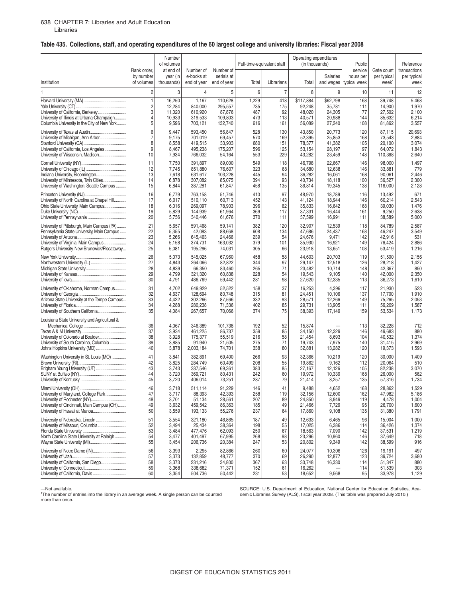## **Table 435. Collections, staff, and operating expenditures of the 60 largest college and university libraries: Fiscal year 2008**

|                                                                                                                                                               |                                        | Number<br>of volumes                      |                                                      |                                                 | Full-time-equivalent staff      |                            | Operating expenditures<br>(in thousands)       |                                     | Public                               |                                                | Reference                             |
|---------------------------------------------------------------------------------------------------------------------------------------------------------------|----------------------------------------|-------------------------------------------|------------------------------------------------------|-------------------------------------------------|---------------------------------|----------------------------|------------------------------------------------|-------------------------------------|--------------------------------------|------------------------------------------------|---------------------------------------|
| Institution                                                                                                                                                   | Rank order,<br>by number<br>of volumes | at end of<br>year (in<br>thousands)       | Number of<br>e-books at<br>end of year               | Number of<br>serials at<br>end of year          | Total                           | Librarians                 | Total                                          | Salaries<br>and wages               | service<br>hours per<br>typical week | Gate count<br>per typical<br>week <sup>1</sup> | transactions<br>per typical<br>week   |
| 1                                                                                                                                                             | 2                                      | 3                                         | 4                                                    | 5                                               | 6                               | $\overline{7}$             | 8                                              | 9                                   | 10                                   | 11                                             | 12                                    |
|                                                                                                                                                               | $\overline{1}$                         | 16,250                                    | 1,167                                                | 110,628                                         | 1,229                           | 418                        | \$117,884                                      | \$62,798                            | 168                                  | 39,748                                         | 5,468                                 |
|                                                                                                                                                               | $\overline{c}$                         | 12,284                                    | 840.000                                              | 295,557                                         | 735                             | 175                        | 92,248                                         | 35,781                              | 111                                  | 14,900                                         | 1,970                                 |
| University of California, Berkeley                                                                                                                            | 3                                      | 11,020                                    | 610,920                                              | 87,876                                          | 487                             | 92                         | 48,020                                         | 24,305                              | 77                                   | 27,502                                         | 2,100                                 |
| University of Illinois at Urbana-Champaign                                                                                                                    | $\overline{4}$                         | 10,933                                    | 319,533                                              | 109,803                                         | 473                             | 113                        | 40,571                                         | 20,988                              | 144                                  | 85,632                                         | 6,214                                 |
| Columbia University in the City of New York                                                                                                                   | 5                                      | 9,596                                     | 703,121                                              | 132,740                                         | 616                             | 161                        | 56,089                                         | 27,240                              | 108                                  | 81,862                                         | 3,557                                 |
| University of Texas at Austin                                                                                                                                 | 6                                      | 9,447                                     | 593,450                                              | 56,847                                          | 528                             | 130                        | 43,850                                         | 20,773                              | 120                                  | 87,115                                         | 20,693                                |
| University of Michigan, Ann Arbor                                                                                                                             | $\overline{7}$                         | 9,175                                     | 701,019                                              | 69,457                                          | 570                             | 169                        | 52,395                                         | 25,853                              | 168                                  | 73,543                                         | 2,884                                 |
|                                                                                                                                                               | 8                                      | 8,558                                     | 419,515                                              | 33,903                                          | 680                             | 151                        | 78,377                                         | 41,382                              | 105                                  | 20.100                                         | 3,074                                 |
| University of California, Los Angeles                                                                                                                         | 9                                      | 8,467                                     | 495,238                                              | 175,207                                         | 596                             | 125                        | 53,154                                         | 28,197                              | 97                                   | 64,072                                         | 1,843                                 |
| University of Wisconsin, Madison                                                                                                                              | 10                                     | 7,934                                     | 766,032                                              | 54,164                                          | 553                             | 229                        | 43,282                                         | 23,459                              | 148                                  | 110,368                                        | 2,640                                 |
|                                                                                                                                                               | 11                                     | 7,750                                     | 391,897                                              | 89,000                                          | 549                             | 118                        | 46,798                                         | 22,667                              | 146                                  | 98,000                                         | 1,497                                 |
|                                                                                                                                                               | 12                                     | 7,745                                     | 851,880                                              | 76,607                                          | 323                             | 68                         | 34,680                                         | 12,638                              | 146                                  | 33,881                                         | 779                                   |
| Indiana University, Bloomington                                                                                                                               | 13                                     | 7,618                                     | 631,617                                              | 103,228                                         | 445                             | 94                         | 36,282                                         | 16,061                              | 168                                  | 90,061                                         | 2,446                                 |
| University of Minnesota, Twin Cities                                                                                                                          | 14                                     | 6,878                                     | 307,082                                              | 85,075                                          | 394                             | 93                         | 40,734                                         | 18,118                              | 100                                  | 36,527                                         | 2,300                                 |
| University of Washington, Seattle Campus                                                                                                                      | 15                                     | 6,844                                     | 387,281                                              | 61,847                                          | 458                             | 135                        | 36,814                                         | 19,345                              | 138                                  | 116,000                                        | 2,128                                 |
|                                                                                                                                                               | 16                                     | 6,779                                     | 763,158                                              | 51,746                                          | 410                             | 97                         | 48,970                                         | 18,789                              | 116                                  | 13,492                                         | 671                                   |
| University of North Carolina at Chapel Hill                                                                                                                   | 17                                     | 6,017                                     | 510,110                                              | 60,713                                          | 452                             | 143                        | 41,124                                         | 18,944                              | 146                                  | 60,214                                         | 2,543                                 |
| Ohio State University, Main Campus                                                                                                                            | 18                                     | 6,016                                     | 269,097                                              | 78,903                                          | 396                             | 62                         | 35,833                                         | 16,642                              | 168                                  | 39,030                                         | 1,476                                 |
|                                                                                                                                                               | 19                                     | 5,829                                     | 144,939                                              | 61,964                                          | 369                             | 117                        | 37,331                                         | 16,444                              | 161                                  | 9,250                                          | 2,638                                 |
|                                                                                                                                                               | 20                                     | 5,756                                     | 340,446                                              | 61,676                                          | 370                             | 111                        | 37,599                                         | 16,991                              | 111                                  | 38,589                                         | 5,000                                 |
| University of Pittsburgh, Main Campus (PA)                                                                                                                    | 21                                     | 5,657                                     | 591,468                                              | 59,141                                          | 382                             | 120                        | 32,907                                         | 12,539                              | 118                                  | 84,789                                         | 2,587                                 |
| Pennsylvania State University, Main Campus                                                                                                                    | 22                                     | 5,355                                     | 42,083                                               | 88,668                                          | 608                             | 134                        | 47,686                                         | 24,437                              | 168                                  | 46,247                                         | 3,549                                 |
|                                                                                                                                                               | 23                                     | 5,266                                     | 645,463                                              | 24,466                                          | 239                             | 54                         | 24,676                                         | 9,471                               | 142                                  | 42,916                                         | 531                                   |
| University of Virginia, Main Campus                                                                                                                           | 24                                     | 5,158                                     | 374,731                                              | 163,032                                         | 379                             | 101                        | 35,930                                         | 16,921                              | 149                                  | 76,424                                         | 2,886                                 |
| Rutgers University, New Brunswick/Piscataway                                                                                                                  | 25                                     | 5,081                                     | 195,296                                              | 74,031                                          | 305                             | 66                         | 23,918                                         | 13,651                              | 108                                  | 53,419                                         | 1,216                                 |
|                                                                                                                                                               | 26                                     | 5,073                                     | 545,025                                              | 67,960                                          | 458                             | 58                         | 44,603                                         | 20,703                              | 119                                  | 51,500                                         | 2,156                                 |
| Northwestern University (IL)                                                                                                                                  | 27                                     | 4,843                                     | 264,066                                              | 82,822                                          | 344                             | 97                         | 29,147                                         | 12,518                              | 126                                  | 28,218                                         | 1,427                                 |
|                                                                                                                                                               | 28                                     | 4,839                                     | 66,350                                               | 83,460                                          | 265                             | 71                         | 23,482                                         | 10,714                              | 148                                  | 42,367                                         | 850                                   |
|                                                                                                                                                               | 29                                     | 4,799                                     | 321,320                                              | 60,838                                          | 228                             | 54                         | 19,543                                         | 9,105                               | 140                                  | 42,000                                         | 2,350                                 |
|                                                                                                                                                               | 30                                     | 4,791                                     | 486,769                                              | 59,442                                          | 281                             | 98                         | 27,620                                         | 12,335                              | 113                                  | 36,273                                         | 1,610                                 |
| University of Oklahoma, Norman Campus                                                                                                                         | 31                                     | 4,702                                     | 649,929                                              | 52,522                                          | 158                             | 37                         | 16,253                                         | 4,396                               | 117                                  | 21,930                                         | 523                                   |
|                                                                                                                                                               | 32                                     | 4,637                                     | 128,694                                              | 80,748                                          | 315                             | 81                         | 24,451                                         | 10,106                              | 137                                  | 17,700                                         | 1,910                                 |
| Arizona State University at the Tempe Campus                                                                                                                  | 33                                     | 4,422                                     | 302,266                                              | 87,566                                          | 332                             | 93                         | 28,571                                         | 12,266                              | 149                                  | 75,265                                         | 2,053                                 |
|                                                                                                                                                               | 34                                     | 4,288                                     | 280,238                                              | 71,336                                          | 402                             | 85                         | 29,731                                         | 13,905                              | 111                                  | 56,209                                         | 1,587                                 |
| University of Southern California                                                                                                                             | 35                                     | 4,084                                     | 267,657                                              | 70,066                                          | 374                             | 75                         | 38,393                                         | 17,149                              | 159                                  | 53,534                                         | 1,173                                 |
| Louisiana State University and Agricultural &<br>University of Colorado at Boulder<br>University of South Carolina, Columbia<br>Johns Hopkins University (MD) | 36<br>37<br>38<br>39<br>40             | 4,067<br>3,934<br>3,928<br>3,885<br>3,878 | 346,389<br>461,225<br>175,377<br>91,940<br>2,003,184 | 101,738<br>86,737<br>55,519<br>21,505<br>74,701 | 192<br>359<br>216<br>275<br>338 | 52<br>85<br>58<br>71<br>80 | 15,874<br>34,150<br>21,454<br>19,743<br>32,881 | 12,329<br>8,693<br>7,975<br>13,282  | 113<br>146<br>104<br>140<br>120      | 32,228<br>49,683<br>40,532<br>31,415<br>19,373 | 712<br>880<br>1,374<br>2,969<br>1,593 |
| Washington University in St. Louis (MO)                                                                                                                       | 41                                     | 3.841                                     | 382,891                                              | 69,400                                          | 266                             | 93                         | 32,366                                         | 10,219                              | 120                                  | 30,000                                         | 1,409                                 |
|                                                                                                                                                               | 42                                     | 3,825                                     | 284,749                                              | 60,499                                          | 208                             | 55                         | 19,862                                         | 9,162                               | 112                                  | 20,064                                         | 510                                   |
| Brigham Young University (UT)                                                                                                                                 | 43                                     | 3,743                                     | 337,546                                              | 69,361                                          | 383                             | 85                         | 27,167                                         | 12,126                              | 105                                  | 82,238                                         | 3,070                                 |
|                                                                                                                                                               | 44                                     | 3,720                                     | 369,721                                              | 80,431                                          | 242                             | 60                         | 19,972                                         | 10,339                              | 168                                  | 26,000                                         | 562                                   |
|                                                                                                                                                               | 45                                     | 3,720                                     | 406,014                                              | 73,251                                          | 287                             | 79                         | 21,414                                         | 8,257                               | 135                                  | 57,316                                         | 1,734                                 |
| Miami University (OH)                                                                                                                                         | 46                                     | 3,718                                     | 511,114                                              | 91,229                                          | 146                             | 41                         | 9,488                                          | 4,652                               | 168                                  | 28,862                                         | 1,529                                 |
| University of Maryland, College Park                                                                                                                          | 47                                     | 3,717                                     | 88,393                                               | 42,393                                          | 258                             | 119                        | 32,156                                         | 12,600                              | 162                                  | 47,982                                         | 5,186                                 |
|                                                                                                                                                               | 48                                     | 3,701                                     | 51,134                                               | 28,561                                          | 207                             | 89                         | 24,850                                         | 8,949                               | 119                                  | 4,478                                          | 1,004                                 |
| University of Cincinnati, Main Campus (OH)                                                                                                                    | 49                                     | 3,632                                     | 459,542                                              | 86,363                                          | 185                             | 49                         | 21,466                                         | 7,729                               | 95                                   | 26,700                                         | 1,600                                 |
| University of Hawaii at Manoa                                                                                                                                 | 50                                     | 3,559                                     | 193,133                                              | 55,276                                          | 237                             | 64                         | 17,860                                         | 9,108                               | 135                                  | 31,380                                         | 1,791                                 |
| University of Nebraska, Lincoln                                                                                                                               | 51                                     | 3,554                                     | 321,180                                              | 46,865                                          | 187                             | 49                         | 12,633                                         | 6,465                               | 96                                   | 15,004                                         | 1,000                                 |
| University of Missouri, Columbia                                                                                                                              | 52                                     | 3,494                                     | 25,434                                               | 38,364                                          | 198                             | 55                         | 17,025                                         | 6,386                               | 114                                  | 36,426                                         | 1,374                                 |
|                                                                                                                                                               | 53                                     | 3,484                                     | 477,476                                              | 62,093                                          | 250                             | 67                         | 18,563                                         | 7,090                               | 142                                  | 37,531                                         | 1,219                                 |
| North Carolina State University at Raleigh                                                                                                                    | 54                                     | 3,477                                     | 401,497                                              | 67,995                                          | 268                             | 98                         | 23,296                                         | 10,960                              | 146                                  | 37,649                                         | 718                                   |
|                                                                                                                                                               | 55                                     | 3,454                                     | 206,736                                              | 20,384                                          | 247                             | 53                         | 20,802                                         | 9,349                               | 142                                  | 38,599                                         | 916                                   |
| University of Notre Dame (IN)<br>University of California, San Diego                                                                                          | 56<br>57<br>58<br>59<br>60             | 3,393<br>3,373<br>3,373<br>3,368<br>3,354 | 2,295<br>132,859<br>231,216<br>338,682<br>504,736    | 82,866<br>48,777<br>34,800<br>71,371<br>50,442  | 260<br>370<br>367<br>152<br>231 | 60<br>69<br>63<br>61<br>53 | 24,077<br>26,290<br>30,748<br>16,262<br>18,652 | 10,306<br>12,877<br>16,330<br>9,568 | 126<br>123<br>114<br>114<br>95       | 19,191<br>39,724<br>51,347<br>51,539<br>33,978 | 497<br>3,680<br>880<br>303<br>1,129   |

<sup>1</sup>The number of entries into the library in an average week. A single person can be counted demic Libraries Survey (ALS), fiscal year 2008. (This table was prepared July 2010.) more than once.

SOURCE: U.S. Department of Education, National Center for Education Statistics, Aca-<br>demic Libraries Survey (ALS), fiscal year 2008. (This table was prepared July 2010.)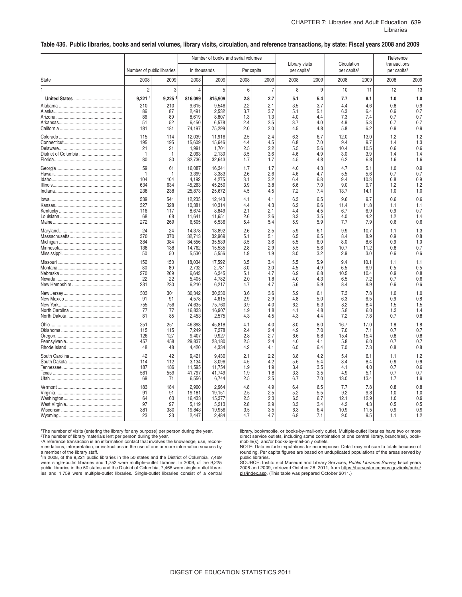#### **Table 436. Public libraries, books and serial volumes, library visits, circulation, and reference transactions, by state: Fiscal years 2008 and 2009**

|              |                            |            |                  | Number of books and serial volumes |            |                |                                           |            |                         |             | Reference                               |            |
|--------------|----------------------------|------------|------------------|------------------------------------|------------|----------------|-------------------------------------------|------------|-------------------------|-------------|-----------------------------------------|------------|
|              | Number of public libraries |            | In thousands     |                                    |            | Per capita     | Library visits<br>per capita <sup>1</sup> |            | per capita <sup>2</sup> | Circulation | transactions<br>per capita <sup>3</sup> |            |
| <b>State</b> | 2008                       | 2009       | 2008             | 2009                               | 2008       | 2009           | 2008                                      | 2009       | 2008                    | 2009        | 2008                                    | 2009       |
| 1            | $\overline{c}$             | 3          | $\overline{4}$   | 5                                  | 6          | $\overline{7}$ | 8                                         | 9          | 10                      | 11          | 12                                      | 13         |
|              | 9,221                      | 9,225      | 816,099          | 815,909                            | 2.8        | 2.7            | 5.1                                       | 5.4        | 7.7                     | 8.1         | 1.0                                     | 1.0        |
|              | 210                        | 210        | 9,615            | 9,546                              | 2.2        | 2.1            | 3.5                                       | 3.7        | 4.4                     | 4.6         | 0.8                                     | 0.9        |
|              | 86                         | 87         | 2.491            | 2,532                              | 3.7        | 3.7            | 5.1                                       | 5.1        | 6.3                     | 6.4         | 0.6                                     | 0.7        |
|              | 86<br>51                   | 89<br>52   | 8,619<br>6,450   | 8,807<br>6,578                     | 1.3<br>2.4 | 1.3<br>2.5     | 4.0<br>3.7                                | 4.4<br>4.0 | 7.3<br>4.9              | 7.4<br>5.3  | 0.7<br>0.7                              | 0.7<br>0.7 |
|              | 181                        | 181        | 74,197           | 75,299                             | 2.0        | 2.0            | 4.5                                       | 4.8        | 5.8                     | 6.2         | 0.9                                     | 0.9        |
|              | 115                        | 114        | 12,039           | 11,916                             | 2.5        | 2.4            | 6.3                                       | 6.7        | 12.0                    | 13.0        | 1.2                                     | 1.2        |
|              | 195                        | 195        | 15,609           | 15.646                             | 4.4        | 4.5            | 6.8                                       | 7.0        | 9.4                     | 9.7         | 1.4                                     | 1.3        |
|              | 21                         | 21         | 1,991            | 1,701                              | 2.5        | 2.2            | 5.5                                       | 5.6        | 10.4                    | 10.5        | 0.6                                     | 0.6        |
|              | $\overline{1}$<br>80       | -1<br>80   | 2,063<br>32,736  | 2,130<br>32,643                    | 3.5<br>1.7 | 3.6<br>1.7     | 4.6<br>4.5                                | 4.9<br>4.8 | 3.0<br>6.2              | 3.9<br>6.8  | 1.4<br>1.6                              | 1.4<br>1.6 |
|              | 59                         | 61         | 16,087           | 16,341                             | 1.7        | 1.7            | 4.0                                       | 4.3        | 4.7                     | 5.1         | 1.0                                     | 0.9        |
|              | $\overline{1}$             | 1          | 3,399            | 3.383                              | 2.6        | 2.6            | 4.6                                       | 4.7        | 5.5                     | 5.6         | 0.7                                     | 0.7        |
|              | 104<br>634                 | 104<br>634 | 4,192<br>45,263  | 4,275<br>45,250                    | 3.1<br>3.9 | 3.2<br>3.8     | 6.4<br>6.6                                | 6.8<br>7.0 | 9.4<br>9.0              | 10.3<br>9.7 | 0.8<br>1.2                              | 0.9<br>1.2 |
|              | 238                        | 238        | 25,873           | 25.672                             | 4.5        | 4.5            | 7.2                                       | 7.4        | 13.7                    | 14.1        | 1.0                                     | 1.0        |
|              | 539                        | 541        | 12,235           | 12,143                             | 4.1        | 4.1            | 6.3                                       | 6.5        | 9.6                     | 9.7         | 0.6                                     | 0.6        |
|              | 327                        | 328        | 10,381           | 10,314                             | 4.4        | 4.3            | 6.2                                       | 6.6        | 11.4                    | 11.8        | 1.1                                     | 1.1        |
|              | 116<br>68                  | 117<br>68  | 8.674<br>11,641  | 8.849<br>11,651                    | 2.1<br>2.6 | 2.1<br>2.6     | 4.4<br>3.3                                | 4.5<br>3.5 | 6.7<br>4.0              | 6.9<br>4.2  | 0.9<br>1.2                              | 0.7<br>1.4 |
|              | 272                        | 269        | 6,505            | 6,536                              | 5.4        | 5.4            | 5.9                                       | 5.9        | 7.7                     | 7.9         | 0.6                                     | 0.6        |
|              | 24                         | 24         | 14,378           | 13,892                             | 2.6        | 2.5            | 5.9                                       | 6.1        | 9.9                     | 10.7        | 1.1                                     | 1.3        |
|              | 370                        | 370        | 32,713           | 32,969                             | 5.1        | 5.1            | 6.5                                       | 6.5        | 8.4                     | 8.9         | 0.9                                     | 0.8        |
|              | 384<br>138                 | 384<br>138 | 34,556<br>14,762 | 35,539<br>15,535                   | 3.5<br>2.8 | 3.6<br>2.9     | 5.5<br>5.5                                | 6.0<br>5.6 | 8.0<br>10.7             | 8.6<br>11.2 | 0.9<br>0.8                              | 1.0<br>0.7 |
|              | 50                         | 50         | 5,530            | 5,556                              | 1.9        | 1.9            | 3.0                                       | 3.2        | 2.9                     | 3.0         | 0.6                                     | 0.6        |
|              | 152                        | 150        | 18,034           | 17,592                             | 3.5        | 3.4            | 5.5                                       | 5.9        | 9.4                     | 10.1        | 1.1                                     | 1.1        |
|              | 80<br>270                  | 80         | 2,732            | 2,731                              | 3.0        | 3.0<br>4.7     | 4.5                                       | 4.9        | 6.5                     | 6.9         | 0.5                                     | 0.5<br>0.8 |
|              | 22                         | 269<br>22  | 6.643<br>5,405   | 6.345<br>4,782                     | 5.1<br>2.0 | 1.8            | 6.9<br>4.0                                | 6.8<br>4.3 | 10.5<br>6.5             | 10.4<br>7.2 | 0.9<br>0.7                              | 0.6        |
|              | 231                        | 230        | 6,210            | 6,217                              | 4.7        | 4.7            | 5.6                                       | 5.9        | 8.4                     | 8.9         | 0.6                                     | 0.6        |
|              | 303                        | 301        | 30.342           | 30.230                             | 3.6        | 3.6            | 5.9                                       | 6.1        | 7.3                     | 7.8         | 1.0                                     | 1.0        |
|              | 91<br>755                  | 91<br>756  | 4,578<br>74,635  | 4,615<br>75,760                    | 2.9<br>3.9 | 2.9<br>4.0     | 4.8<br>6.2                                | 5.0<br>6.3 | 6.3<br>8.2              | 6.5<br>8.4  | 0.9<br>1.5                              | 0.8<br>1.5 |
|              | 77                         | 77         | 16,833           | 16,907                             | 1.9        | 1.8            | 4.1                                       | 4.8        | 5.8                     | 6.0         | 1.3                                     | 1.4        |
|              | 81                         | 85         | 2,453            | 2,575                              | 4.3        | 4.5            | 4.3                                       | 4.4        | 7.2                     | 7.8         | 0.7                                     | 0.8        |
|              | 251                        | 251        | 46,893           | 45,818                             | 4.1        | 4.0            | 8.0                                       | 8.0        | 16.7                    | 17.0        | 1.8                                     | 1.8        |
|              | 115                        | 115        | 7,249            | 7,278                              | 2.4        | 2.4            | 4.9                                       | 7.0        | 7.0                     | 7.1         | 0.7                                     | 0.7        |
|              | 126                        | 127        | 9,407            | 9,927                              | 2.8        | 2.7            | 6.6                                       | 6.8        | 15.4                    | 15.4        | 0.8                                     | 0.8        |
|              | 457<br>48                  | 458<br>48  | 29,837<br>4,420  | 28,180<br>4,334                    | 2.5<br>4.2 | 2.4<br>4.1     | 4.0<br>6.0                                | 4.1<br>6.4 | 5.8<br>7.0              | 6.0<br>7.3  | 0.7<br>0.8                              | 0.7<br>0.8 |
|              | 42                         | 42         | 9.421            | 9.430                              | 2.1        | 2.2            | 3.8                                       | 4.2        | 5.4                     | 6.1         | 1.1                                     | 1.2        |
|              | 114                        | 112        | 3,134            | 3,096                              | 4.5        | 4.2            | 5.6                                       | 5.4        | 8.4                     | 8.4         | 0.9                                     | 0.9        |
|              | 187                        | 186        | 11,595           | 11.754                             | 1.9        | 1.9            | 3.4                                       | 3.5        | 4.1                     | 4.0         | 0.7                                     | 0.6        |
|              | 561                        | 559        | 41,797           | 41,749                             | 1.9        | 1.8            | 3.3                                       | 3.5        | 4.9                     | 5.1         | 0.7                                     | 0.7        |
|              | 69                         | 71         | 6,556            | 6,744                              | 2.5        | 2.5            | 6.7                                       | 7.0        | 13.0                    | 13.4        | 1.7                                     | 1.9        |
|              | 183<br>91                  | 184<br>91  | 2.900<br>19,181  | 2,964<br>19,151                    | 4.8<br>2.5 | 4.9<br>2.5     | 6.4<br>5.2                                | 6.5<br>5.5 | 7.7<br>9.2              | 7.8<br>9.8  | 0.8<br>1.0                              | 0.8<br>1.0 |
|              | 64                         | 63         | 16,433           | 15,377                             | 2.5        | 2.3            | 6.5                                       | 6.7        | 12.1                    | 12.9        | 1.0                                     | 0.9        |
|              | 97                         | 97         | 5,119            | 5,213                              | 2.8        | 2.9            | 3.3                                       | 3.4        | 4.2                     | 4.3         | 0.5                                     | 0.5        |
|              | 381                        | 380        | 19,843           | 19,956                             | 3.5        | 3.5            | 6.3                                       | 6.4        | 10.9                    | 11.5        | 0.9                                     | 0.9        |
|              | 23                         | 23         | 2,447            | 2,484                              | 4.7        | 4.7            | 6.8                                       | 7.1        | 9.0                     | 9.5         | 1.1                                     | 1.2        |

'The number of visits (entering the library for any purpose) per person during the year.<br><sup>2The</sup> number of library materials lent per person during the year.<br><sup>3</sup>A reference transaction is an information contact that involv

mendations, interpretation, or instructions in the use of one or more information sources by a member of the library staff. 4In 2008, of the 9,221 public libraries in the 50 states and the District of Columbia, 7,469

 public libraries in the 50 states and the District of Columbia, 7,466 were single-outlet librar-ies and 1,759 were multiple-outlet libraries. Single-outlet libraries consist of a central were single-outlet libraries and 1,752 were multiple-outlet libraries. In 2009, of the 9,225 library, bookmobile, or books-by-mail-only outlet. Multiple-outlet libraries have two or more<br>direct service outlets, including some combination of one central library, branch(es), book-<br>mobile(s), and/or books-by-mail-onl

NOTE: Data include imputations for nonresponse. Detail may not sum to totals because of rounding. Per capita figures are based on unduplicated populations of the areas served by

public libraries. SOURCE: Institute of Museum and Library Services, *Public Libraries Survey*, fiscal years 2008 and 2009, retrieved October 28, 2011, from <https://harvester.census.gov/imls/pubs>/ pls/index.asp. (This table was prepared October 2011.)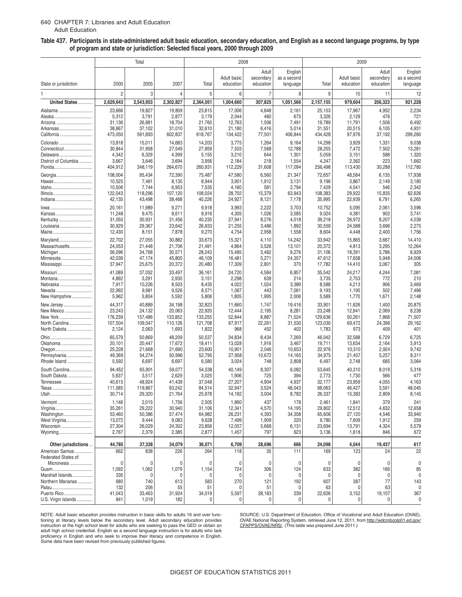#### 640 CHAPTER 7: Libraries and Adult Education Adult Education

### **AdultEducation Table 437. Participants in state-administered adult basic education, secondary education, and English as a second language programs, by type of program and state or jurisdiction: Selected fiscal years, 2000 through 2009**

|                                          |                   | Total             |                 |                  | 2008                     |                                 |                                    |                  | 2009                     |                                 |                                    |
|------------------------------------------|-------------------|-------------------|-----------------|------------------|--------------------------|---------------------------------|------------------------------------|------------------|--------------------------|---------------------------------|------------------------------------|
| State or jurisdiction                    | 2000              | 2005              | 2007            | Total            | Adult basic<br>education | Adult<br>secondary<br>education | English<br>as a second<br>language | Total            | Adult basic<br>education | Adult<br>secondary<br>education | English<br>as a second<br>language |
| 1                                        | $\overline{2}$    | 3                 | $\overline{4}$  | 5                | 6                        | $\overline{7}$                  | 8                                  | 9                | 10                       | 11                              | 12                                 |
| United States                            | 2,629,643         | 2,543,953         | 2,302,827       | 2,364,051        | 1,004,660                | 307,825                         | 1,051,566                          | 2,157,155        | 979,604                  | 256,323                         | 921,228                            |
| Alabama                                  | 23,666            | 19,827            | 19,809          | 23,815           | 17,006                   | 4,648                           | 2,161                              | 25,153           | 17,967                   | 4,952                           | 2,234                              |
| Alaska                                   | 5,312             | 3,791             | 2,877           | 3,179            | 2,044                    | 460                             | 675                                | 3,326            | 2,129                    | 476                             | 721                                |
| Arizona                                  | 31,136            | 26,881            | 18,704          | 21,760           | 12,763                   | 1,506                           | 7,491                              | 19,789           | 11,791                   | 1,506                           | 6,492                              |
| Arkansas                                 | 38,867            | 37,102            | 31,010          | 32,610           | 21,180                   | 6,416                           | 5,014                              | 31,551           | 20,515                   | 6,105                           | 4,931                              |
| California                               | 473,050           | 591,893           | 602,837         | 618,767          | 134,422                  | 77,501                          | 406,844                            | 434,428          | 97,976                   | 37,192                          | 299,260                            |
| Colorado                                 | 13,818            | 15,011            | 14,683          | 14,203           | 3,775                    | 1,264                           | 9,164                              | 14,298           | 3,929                    | 1,331                           | 9,038                              |
| Connecticut                              | 30,844            | 31,958            | 27,549          | 27,859           | 7,503                    | 7,568                           | 12,788                             | 28,255           | 7,472                    | 7,502                           | 13,281                             |
| Delaware                                 | 4,342             | 6,329             | 4,399           | 5,155            | 3,210                    | 644                             | 1,301                              | 5,059            | 3,151                    | 588                             | 1,320                              |
| District of Columbia                     | 3,667             | 3,646             | 3,694           | 3,956            | 2,184                    | 218                             | 1,554                              | 4,247            | 2,362                    | 223                             | 1,662                              |
| Florida                                  | 404,912           | 348,119           | 264,670         | 260,931          | 112,229                  | 31,608                          | 117,094                            | 256,498          | 113,430                  | 30,288                          | 112,780                            |
| Georgia                                  | 108,004           | 95,434            | 72,390          | 75,487           | 47,580                   | 6,560                           | 21,347                             | 72,657           | 48,584                   | 6,135                           | 17,938                             |
| Hawaii                                   | 10,525            | 7,461             | 8,135           | 8,944            | 3,901                    | 1,912                           | 3,131                              | 9,196            | 3,867                    | 2,149                           | 3,180                              |
| Idaho                                    | 10,506            | 7,744             | 6,953           | 7,535            | 4,160                    | 581                             | 2,794                              | 7,429            | 4,541                    | 546                             | 2,342                              |
| Illinois                                 | 122,043           | 118,296           | 107,120         | 108,024          | 28,702                   | 15,379                          | 63,943                             | 108,383          | 29,922                   | 15,835                          | 62,626                             |
|                                          | 42,135            | 43,498            | 38,468          | 40,226           | 24,927                   | 8,121                           | 7,178                              | 35,995           | 22,939                   | 6,791                           | 6,265                              |
| lowa                                     | 20,161            | 11,989            | 9,271           | 9,918            | 3,993                    | 2,222                           | 3,703                              | 10,752           | 5,095                    | 2,061                           | 3,596                              |
| Kansas                                   | 11,248            | 9,475             | 8,611           | 8,916            | 4,305                    | 1,026                           | 3,585                              | 9,024            | 4,381                    | 902                             | 3,741                              |
| Kentucky                                 | 31,050            | 30,931            | 31,456          | 40,235           | 27,941                   | 8,276                           | 4,018                              | 39,218           | 26,972                   | 8,207                           | 4,039                              |
| Louisiana                                | 30,929            | 29,367            | 23,642          | 26,633           | 21,255                   | 3,486                           | 1,892                              | 30,559           | 24,588                   | 3,696                           | 2,275                              |
| Maine                                    | 12,430            | 8,151             | 7,878           | 9,270            | 4,754                    | 2,958                           | 1,558                              | 8,604            | 4,448                    | 2,400                           | 1,756                              |
| Maryland                                 | 22,702            | 27,055            | 30,882          | 33,673           | 15,321                   | 4,110                           | 14,242                             | 33,942           | 15,865                   | 3,667                           | 14,410                             |
| Massachusetts                            | 24,053            | 21,448            | 21,706          | 21,491           | 4,864                    | 3,526                           | 13,101                             | 20,372           | 4,813                    | 3,295                           | 12,264                             |
| Michigan                                 | 56,096            | 34,768            | 30,571          | 28,243           | 15,485                   | 3,482                           | 9,276                              | 31,106           | 18,391                   | 3,786                           | 8,929                              |
| Minnesota                                | 42,039            | 47,174            | 45,805          | 46,109           | 16,481                   | 5,271                           | 24,357                             | 47,612           | 17,658                   | 5,948                           | 24,006                             |
| Mississippi                              | 37,947            | 25,675            | 20,372          | 20,480           | 17,309                   | 2,801                           | 370                                | 17,782           | 14,410                   | 3,067                           | 305                                |
| Missouri                                 | 41,089            | 37,052            | 33,497          | 36,161           | 24,720                   | 4,584                           | 6,857                              | 35,542           | 24,217                   | 4,244                           | 7,081                              |
| Montana                                  | 4,892             | 3,291             | 2,930           | 3,151            | 2,298                    | 639                             | 214                                | 3,735            | 2,753                    | 772                             | 210                                |
| Nebraska                                 | 7,917             | 10,226            | 8,503           | 8,435            | 4,022                    | 1,024                           | 3,389                              | 8,588            | 4,213                    | 906                             | 3,469                              |
| Nevada                                   | 22,992            | 9,981             | 9,526           | 8,571            | 1,067                    | 443                             | 7,061                              | 9,193            | 1,195                    | 502                             | 7,496                              |
| New Hampshire                            | 5,962             | 5,804             | 5,592           | 5,806            | 1,805                    | 1,995                           | 2,006                              | 5,589            | 1,770                    | 1,671                           | 2,148                              |
| New Jersey                               | 44,317            | 40,889            | 34,198          | 32,823           | 11,660                   | 1,747                           | 19,416                             | 33,901           | 11,626                   | 1,400                           | 20,875                             |
| New Mexico                               | 23,243            | 24,132            | 20,063          | 22,920           | 12,444                   | 2,195                           | 8,281                              | 23,248           | 12,941                   | 2,069                           | 8,238                              |
| New York                                 | 176,239           | 157,486           | 133,852         | 133,255          | 52,844                   | 8,887                           | 71,524                             | 129,636          | 50,261                   | 7,868                           | 71,507                             |
| North Carolina<br>North Dakota           | 107,504           | 109,047           | 110,126         | 121,708          | 67,917                   | 22,261                          | 31,530                             | 123,030          | 69,472<br>973            | 24,396                          | 29,162<br>401                      |
|                                          | 2,124             | 2,063             | 1,693           | 1,822            | 968                      | 452                             | 402                                | 1,783            |                          | 409                             |                                    |
|                                          | 65,579            | 50,869            | 48,209          | 50,537           | 34,834                   | 8,434                           | 7,269                              | 46,042           | 32,588                   | 6,729                           | 6,725                              |
| Oklahoma                                 | 20,101            | 20,447            | 17,672          | 18,411           | 13,028                   | 1,916                           | 3,467                              | 19,711           | 13,634                   | 2,164                           | 3,913                              |
| Oregon                                   | 25,228            | 21,668            | 21,690          | 23,600           | 10,901                   | 2,046                           | 10,653                             | 22,976           | 10,310                   | 2,924                           | 9,742                              |
| Pennsylvania<br>Rhode Island             | 49,369<br>5,592   | 54,274<br>6,697   | 50,996<br>6,697 | 52,795<br>6,580  | 27,958<br>3,024          | 10,672<br>748                   | 14,165<br>2,808                    | 34,975<br>6,497  | 21,407<br>2,748          | 5,257<br>685                    | 8,311<br>3,064                     |
|                                          |                   |                   |                 |                  |                          |                                 |                                    |                  |                          |                                 |                                    |
| South Carolina<br>South Dakota           | 94,452            | 65,901            | 59,077          | 54,538           | 40,149                   | 8,307                           | 6,082                              | 53,645           | 40,310                   | 8,019                           | 5,316                              |
|                                          | 5,637             | 3,517             | 2,629<br>41,439 | 3,025            | 1,906                    | 725<br>4,904                    | 394<br>4,937                       | 2,773            | 1,730                    | 566<br>4,055                    | 477<br>4,163                       |
| Tennessee<br>Texas                       | 40,615<br>111,585 | 48,924<br>119,867 | 93,242          | 37,048<br>84,514 | 27,207<br>32,947         | 3,524                           | 48,043                             | 32,177<br>98,063 | 23,959<br>46,427         | 3,591                           | 48,045                             |
|                                          | 30,714            | 29,320            | 21,764          | 25,978           | 14,192                   | 3,004                           | 8,782                              | 26,337           | 15,383                   | 2,809                           | 8,145                              |
|                                          |                   |                   |                 | 2,505            | 1,890                    | 437                             | 178                                |                  |                          | 379                             | 241                                |
| Vermont<br>Virginia                      | 1,146<br>35,261   | 2,015<br>29,222   | 1,756<br>30,940 | 31,106           | 12,341                   | 4,570                           | 14,195                             | 2,461<br>29,802  | 1,841<br>12,512          | 4,632                           | 12,658                             |
| Washington                               | 53,460            | 50,386            | 57,474          | 64,982           | 26,231                   | 4,393                           | 34,358                             | 65,606           | 27,120                   | 4,546                           | 33,940                             |
| West Virginia                            | 13,072            | 9,444             | 9,083           | 9,628            | 7,499                    | 1,909                           | 220                                | 9,780            | 7,609                    | 1,912                           | 259                                |
| Wisconsin                                | 27,304            | 26,029            | 24,302          | 23,856           | 12,057                   | 5,668                           | 6,131                              | 23,694           | 13,791                   | 4,324                           | 5,579                              |
| Wyoming                                  | 2,767             | 2,379             | 2,385           | 2,877            | 1,457                    | 797                             | 623                                | 3,136            | 1,618                    | 846                             | 672                                |
|                                          |                   |                   |                 |                  |                          |                                 |                                    |                  |                          |                                 |                                    |
| Other jurisdictions                      | 44,785            | 37,328            | 34,079          | 36,071           | 6,709                    | 28,696                          | 666                                | 24,098           | 4,044                    | 19,437                          | 617                                |
| American Samoa                           | 662               | 838               | 226             | 264              | 118                      | 35                              | 111                                | 169              | 123                      | 24                              | 22                                 |
| <b>Federated States of</b><br>Micronesia | 0                 | 0                 | 0               | $\mathbf{0}$     | $\mathbf 0$              | $\mathbf 0$                     | $\mathbf 0$                        | 0                | 0                        | 0                               | $\pmb{0}$                          |
| Guam                                     | 1,092             | 1,062             | 1,079           | 1,154            | 724                      | 306                             | 124                                | 633              | 382                      | 166                             | 85                                 |
| Marshall Islands                         | 335               | 0                 |                 | $\mathbf{0}$     | 0                        | 0                               | 0                                  | 0                | 0                        |                                 | 0                                  |
| Northern Marianas                        | 680               | 740               | 613             | 583              | 270                      | 121                             | 192                                | 607              | 387                      | 77                              | 143                                |
|                                          | 132               | 206               | 55              | 51               | 0                        | 51                              | 0                                  | 63               | 0                        | 63                              | 0                                  |
| Puerto Rico                              | 41,043            | 33,463            | 31,924          | 34,019           | 5,597                    | 28,183                          | 239                                | 22,626           | 3,152                    | 19,107                          | 367                                |
| U.S. Virgin Islands                      | 841               | 1,019             | 182             | 0                | 0                        | $\mathbf 0$                     | $\mathbf 0$                        | 0                | 0                        | 0                               | $\mathbf{0}$                       |

tioning at literacy levels below the secondary level. Adult secondary education provides OVAE National Reporting System, retrieved June 12, 2011, fi<br>instruction at the high school level for adults who are seeking to pa adult high school credential. English as a second language instruction is for adults who lack<br>proficiency in English and who seek to improve their literacy and competence in English.<br>Some data have been revised from previo

NOTE: Adult basic education provides instruction in basic skills for adults 16 and over func- SOURCE: U.S. Department of Education, Office of Vocational and Adult Education (OVAE),<br>tioning at literacy levels below the seco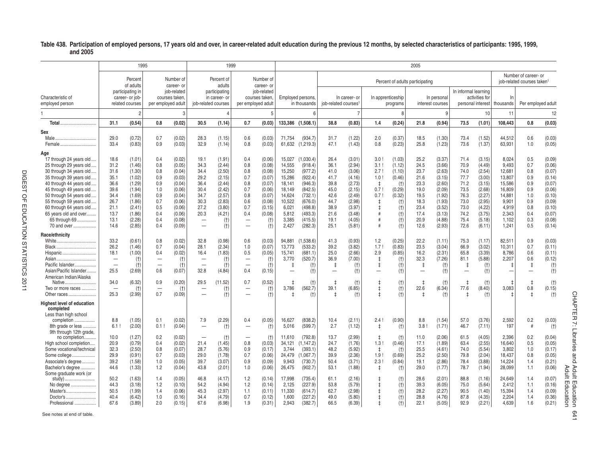#### **Table 438. Participation of employed persons, 17 years old and over, in career-related adult education during the previous 12 months, by selected characteristics of participants: 1995, 1999, and 2005**

|                                                                                                                                                                                                                                                                                                                       |                                                                                              | 1995                                                                                                                 |                                                                                  |                                                                                                                      |                                                                                                                           | 1999                                                                                                           |                                                                                                                            |                                                                                                                    |                                                                                                                  |                                                                                                                                    |                                                                                              |                                                                                                                      |                                                                                                |                                                                                                        | 2005                                                                                         |                                                                                                                      |                                                                                              |                                                                                                                      |                                                                                                               |                                                                                  |                                                                                                                      |                                                                  |
|-----------------------------------------------------------------------------------------------------------------------------------------------------------------------------------------------------------------------------------------------------------------------------------------------------------------------|----------------------------------------------------------------------------------------------|----------------------------------------------------------------------------------------------------------------------|----------------------------------------------------------------------------------|----------------------------------------------------------------------------------------------------------------------|---------------------------------------------------------------------------------------------------------------------------|----------------------------------------------------------------------------------------------------------------|----------------------------------------------------------------------------------------------------------------------------|--------------------------------------------------------------------------------------------------------------------|------------------------------------------------------------------------------------------------------------------|------------------------------------------------------------------------------------------------------------------------------------|----------------------------------------------------------------------------------------------|----------------------------------------------------------------------------------------------------------------------|------------------------------------------------------------------------------------------------|--------------------------------------------------------------------------------------------------------|----------------------------------------------------------------------------------------------|----------------------------------------------------------------------------------------------------------------------|----------------------------------------------------------------------------------------------|----------------------------------------------------------------------------------------------------------------------|---------------------------------------------------------------------------------------------------------------|----------------------------------------------------------------------------------|----------------------------------------------------------------------------------------------------------------------|------------------------------------------------------------------|
|                                                                                                                                                                                                                                                                                                                       |                                                                                              | Percent<br>of adults                                                                                                 |                                                                                  | Number of<br>career-or                                                                                               |                                                                                                                           | Percent of<br>adults                                                                                           |                                                                                                                            | Number of<br>career- or                                                                                            |                                                                                                                  |                                                                                                                                    |                                                                                              |                                                                                                                      |                                                                                                |                                                                                                        | Percent of adults participating                                                              |                                                                                                                      |                                                                                              |                                                                                                                      |                                                                                                               | Number of career- or<br>iob-related courses taken <sup>1</sup>                   |                                                                                                                      |                                                                  |
| Characteristic of<br>employed person                                                                                                                                                                                                                                                                                  |                                                                                              | participating in<br>career- or job-<br>related courses                                                               | per employed adult                                                               | iob-related<br>courses taken.                                                                                        |                                                                                                                           | participating<br>in career- or<br>job-related courses                                                          | per employed adult                                                                                                         | iob-related<br>courses taken                                                                                       |                                                                                                                  | Employed persons,<br>in thousands                                                                                                  | iob-related courses <sup>1</sup>                                                             | In career- or                                                                                                        |                                                                                                | In apprenticeship<br>programs                                                                          |                                                                                              | In personal<br>interest courses                                                                                      | In informal learning                                                                         | activities for<br>personal interest                                                                                  | In<br>thousands                                                                                               | Per employed adult                                                               |                                                                                                                      |                                                                  |
|                                                                                                                                                                                                                                                                                                                       |                                                                                              | $\overline{2}$                                                                                                       |                                                                                  | 3                                                                                                                    |                                                                                                                           |                                                                                                                |                                                                                                                            | 5                                                                                                                  |                                                                                                                  | F                                                                                                                                  |                                                                                              |                                                                                                                      |                                                                                                | $\mathsf{R}$                                                                                           |                                                                                              | 9                                                                                                                    |                                                                                              | 10                                                                                                                   | 11                                                                                                            |                                                                                  | 12                                                                                                                   |                                                                  |
| <b>Total</b>                                                                                                                                                                                                                                                                                                          | 31.1                                                                                         | (0.54)                                                                                                               | 0.8                                                                              | (0.02)                                                                                                               | 30.5                                                                                                                      | (1.14)                                                                                                         | 0.7                                                                                                                        | (0.03)                                                                                                             | 133,386                                                                                                          | (1,508.1)                                                                                                                          | 38.8                                                                                         | (0.83)                                                                                                               | 1.4                                                                                            | (0.24)                                                                                                 | 21.8                                                                                         | (0.94)                                                                                                               | 73.5                                                                                         | (1.01)                                                                                                               | 108.443                                                                                                       | 0.8                                                                              | (0.03)                                                                                                               |                                                                  |
| Sex<br>Female                                                                                                                                                                                                                                                                                                         | 29.0<br>33.4                                                                                 | (0.72)<br>(0.83)                                                                                                     | 0.7<br>0.9                                                                       | (0.02)<br>(0.03)                                                                                                     | 28.3<br>32.9                                                                                                              | (1.15)<br>(1.14)                                                                                               | 0.6<br>0.8                                                                                                                 | (0.03)<br>(0.03)                                                                                                   | 71,754<br>61.632                                                                                                 | (934.7)<br>(1.219.3)                                                                                                               | 31.7<br>47.1                                                                                 | (1.22)<br>(1.43)                                                                                                     | 2.0<br>0.8                                                                                     | (0.37)<br>(0.23)                                                                                       | 18.5<br>25.8                                                                                 | (1.30)<br>(1.23)                                                                                                     | 73.4<br>73.6                                                                                 | (1.52)<br>(1.37)                                                                                                     | 44,512<br>63.931                                                                                              | 0.6<br>1.0                                                                       | (0.03)<br>(0.05)                                                                                                     |                                                                  |
| Age<br>17 through 24 years old.<br>25 through 29 years old.<br>30 through 34 years old<br>35 through 39 years old.<br>40 through 44 years old.<br>45 through 49 years old<br>50 through 54 years old.<br>55 through 59 years old.<br>60 through 64 years old<br>65 years old and over<br>65 through 69<br>70 and over | 18.6<br>31.2<br>31.6<br>35.1<br>36.6<br>39.6<br>34.4<br>26.7<br>21.1<br>13.7<br>13.1<br>14.6 | (1.01)<br>(1.46)<br>(1.30)<br>(1.02)<br>(1.29)<br>(1.94)<br>(1.69)<br>(1.86)<br>(2.41)<br>(1.86)<br>(2.28)<br>(2.85) | 0.4<br>0.8<br>0.8<br>0.9<br>0.9<br>1.0<br>0.9<br>0.7<br>0.5<br>0.4<br>0.4<br>0.4 | (0.02)<br>(0.05)<br>(0.04)<br>(0.03)<br>(0.04)<br>(0.06)<br>(0.04)<br>(0.06)<br>(0.06)<br>(0.06)<br>(0.08)<br>(0.09) | 19.1<br>34.3<br>34.4<br>29.2<br>36.4<br>30.4<br>34.7<br>30.3<br>27.2<br>20.3<br>$\overline{\phantom{0}}$<br>$\frac{1}{2}$ | (1.91)<br>(2.44)<br>(2.50)<br>(2.15)<br>(2.44)<br>(2.42)<br>(2.57)<br>(2.83)<br>(3.80)<br>(4.21)<br>(t)<br>(t) | 0.4<br>0.8<br>0.8<br>0.7<br>0.8<br>0.7<br>0.8<br>0.6<br>0.7<br>0.4<br>$\overline{\phantom{0}}$<br>$\overline{\phantom{0}}$ | (0.06)<br>(0.08)<br>(0.08)<br>(0.07)<br>(0.07)<br>(0.06)<br>(0.07)<br>(0.08)<br>(0.15)<br>(0.08)<br>$(+)$<br>$(+)$ | 15.027<br>14.555<br>15,250<br>15.286<br>18,141<br>18,149<br>14.624<br>10.522<br>6,021<br>5.812<br>3,385<br>2,427 | (1.030.4)<br>(918.4)<br>(977.2)<br>(922.4)<br>(946.3)<br>(842.5)<br>(732.1)<br>(676.0)<br>(498.8)<br>(493.3)<br>(415.5)<br>(282.3) | 26.4<br>36.1<br>41.0<br>41.7<br>39.8<br>45.0<br>42.6<br>44.7<br>38.9<br>21.6<br>19.1<br>25.1 | (3.01)<br>(2.94)<br>(3.06)<br>(4.16)<br>(2.73)<br>(2.15)<br>(2.49)<br>(2.98)<br>(3.97)<br>(3.48)<br>(4.05)<br>(5.81) | 3.0<br>3.1<br>2.7 <sub>1</sub><br>1.0<br>$\pm$<br>0.7!<br>0.7 <sup>1</sup><br>ŧ<br>£<br>#<br># | (1.03)<br>(1.12)<br>(1.10)<br>(0.46)<br>(t)<br>(0.29)<br>(0.32)<br>(t)<br>(t)<br>$(+)$<br>$(+)$<br>(t) | 25.2<br>24.5<br>23.7<br>21.6<br>23.3<br>19.0<br>19.5<br>18.3<br>23.4<br>17.4<br>20.9<br>12.6 | (3.37)<br>(3.66)<br>(2.63)<br>(3.15)<br>(2.60)<br>(2.09)<br>(1.92)<br>(1.93)<br>(3.52)<br>(3.13)<br>(4.88)<br>(2.93) | 71.4<br>70.9<br>74.0<br>77.7<br>71.2<br>73.5<br>76.3<br>73.0<br>73.0<br>74.2<br>75.4<br>72.6 | (3.15)<br>(4.49)<br>(2.54)<br>(3.00)<br>(3.15)<br>(2.68)<br>(2.27)<br>(2.95)<br>(4.22)<br>(3.75)<br>(5.18)<br>(6.11) | 8.024<br>9.493<br>12,681<br>13,807<br>15,586<br>16,809<br>14.881<br>9.901<br>4,919<br>2.343<br>1,102<br>1,241 | 0.5<br>0.7<br>0.8<br>0.9<br>0.9<br>0.9<br>1.0<br>0.9<br>0.8<br>0.4<br>0.3<br>0.5 | (0.09)<br>(0.06)<br>(0.07)<br>(0.14)<br>(0.07)<br>(0.06)<br>(0.10)<br>(0.09)<br>(0.10)<br>(0.07)<br>(0.08)<br>(0.14) |                                                                  |
| Race/ethnicity<br>Black<br>Hispanic<br>Asian<br>Pacific Islander<br>Asian/Pacific Islander                                                                                                                                                                                                                            | 33.2<br>26.2<br>18.1<br>$\overline{\phantom{0}}$<br>$\overline{\phantom{0}}$<br>25.5         | (0.61)<br>(1.46)<br>(1.00)<br>(t)<br>(t)<br>(2.69)                                                                   | 0.8<br>0.7<br>0.4<br>0.6                                                         | (0.02)<br>(0.04)<br>(0.02)<br>(t)<br>$(+)$<br>(0.07)                                                                 | 32.8<br>28.1<br>16.4<br>$\overline{\phantom{0}}$<br>32.8                                                                  | (0.98)<br>(2.34)<br>(1.83)<br>(t)<br>(t)<br>(4.84)                                                             | 0.6<br>1.0<br>0.5<br>$\overline{\phantom{0}}$<br>$\overline{\phantom{0}}$<br>0.4                                           | (0.03)<br>(0.07)<br>(0.05)<br>$(+)$<br>$(+)$<br>(0.15)                                                             | 94.881<br>13.773<br>15,741<br>3,770<br>$\ddagger$<br>$\overline{\phantom{a}}$                                    | (1.538.6)<br>(533.2)<br>(681.1)<br>(520.7)<br>(t)<br>$(+)$                                                                         | 41.3<br>39.2<br>25.0<br>36.9<br>$\ddagger$<br>$\overline{\phantom{0}}$                       | (0.93)<br>(3.82)<br>(2.66)<br>(7.00)<br>(t)<br>(t)                                                                   | 1.2<br>1.7 <sub>1</sub><br>2.9<br>$\ddagger$<br>$\downarrow$                                   | (0.25)<br>(0.83)<br>(0.85)<br>(t)<br>(t)<br>(t)                                                        | 22.2<br>23.5<br>16.2<br>32.3<br>$\ddagger$                                                   | (1.11)<br>(3.04)<br>(2.31)<br>(7.26)<br>$(+)$<br>$(+)$                                                               | 75.3<br>66.9<br>65.8<br>81.1<br>$\overline{1}$<br>$\overline{\phantom{0}}$                   | (1.17)<br>(3.02)<br>(3.39)<br>(5.88)<br>$(+)$<br>(t)                                                                 | 82.511<br>10.311<br>8,786<br>2,207                                                                            | 0.9<br>0.7<br>0.6<br>0.6<br>$\ddagger$                                           | (0.03)<br>(0.11)<br>(0.11)<br>(0.12)<br>$(+)$<br>$(+)$                                                               |                                                                  |
| American Indian/Alaska<br>Native<br>Two or more races<br>Other races                                                                                                                                                                                                                                                  | 34.0<br>$\sim$<br>25.3                                                                       | (6.32)<br>$(+)$<br>(2.99)                                                                                            | 0.9<br>0.7                                                                       | (0.20)<br>(t)<br>(0.09)                                                                                              | 29.5<br>$\overline{\phantom{0}}$                                                                                          | (11.52)<br>(t)<br>(t)                                                                                          | 0.7<br>$\overline{\phantom{0}}$<br>-                                                                                       | (0.52)<br>$(+)$<br>(t)                                                                                             | 3,786                                                                                                            | $(+)$<br>(562.7)<br>$(+)$                                                                                                          | $\pm$<br>39.1<br>t                                                                           | $(+)$<br>(6.85)<br>(t)                                                                                               | $\ddagger$                                                                                     | (t)<br>$(+)$<br>$†$                                                                                    | 22.6                                                                                         | $(+)$<br>(6.34)<br>$(+)$                                                                                             | 77.6<br>+                                                                                    | (t)<br>(8.40)<br>(t)                                                                                                 | 3,083                                                                                                         | $\ddagger$<br>0.8<br>$\pm$                                                       | $(+)$<br>(0.15)<br>$(+)$                                                                                             |                                                                  |
| <b>Highest level of education</b><br>completed<br>Less than high school<br>completion.<br>8th grade or less                                                                                                                                                                                                           | 8.8<br>6.1                                                                                   | (1.05)<br>(2.00)                                                                                                     | 0.1<br>0.1                                                                       | (0.02)<br>(0.04)                                                                                                     | 7.9<br>$\overline{\phantom{0}}$                                                                                           | (2.29)<br>$(+)$                                                                                                | 0.4<br>$\overline{\phantom{0}}$                                                                                            | (0.05)<br>$(+)$                                                                                                    | 16,627<br>5,016                                                                                                  | (838.2)<br>(599.7)                                                                                                                 | 10.4<br>2.7                                                                                  | (2.11)<br>(1.12)                                                                                                     | 2.4!<br>$\ddagger$                                                                             | (0.90)<br>(t)                                                                                          | 8.8<br>3.8                                                                                   | (1.54)<br>(1.71)                                                                                                     | 57.0<br>46.7                                                                                 | (3.76)<br>(7.11)                                                                                                     | 2,592<br>197                                                                                                  | 0.2<br>$\pm$                                                                     | (0.03)<br>$(+)$                                                                                                      | CHAPTER<br>7                                                     |
| 9th through 12th grade,<br>no completion<br>High school completion<br>Some vocational/technical<br>Some college<br>Associate's degree<br>Bachelor's degree                                                                                                                                                            | 10.0<br>20.9<br>32.3<br>29.9<br>39.2<br>44.6                                                 | (1.27)<br>(0.79)<br>(2.50)<br>(0.91)<br>(1.58)<br>(1.33)                                                             | 0.2<br>0.4<br>0.8<br>0.7<br>1.0<br>1.2                                           | (0.02)<br>(0.02)<br>(0.07)<br>(0.03)<br>(0.05)<br>(0.04)                                                             | $\overline{\phantom{0}}$<br>21.4<br>28.7<br>29.0<br>39.7<br>43.8                                                          | (t)<br>(1.45)<br>(5.76)<br>(1.78)<br>(3.07)<br>(2.01)                                                          | $\overline{\phantom{0}}$<br>0.8<br>0.9<br>0.7<br>0.9<br>1.0                                                                | (t)<br>(0.03)<br>(0.17)<br>(0.06)<br>(0.09)<br>(0.06)                                                              | 11.610<br>34,121<br>3.744<br>24,479<br>9.943<br>26,475                                                           | (792.8)<br>(1, 147.2)<br>(393.1)<br>(1,067.7)<br>(730.7)<br>(902.7)                                                                | 13.7<br>24.7<br>48.2<br>39.9<br>50.4<br>53.1                                                 | (2.99)<br>(1.76)<br>(5.92)<br>(2.36)<br>(3.71)<br>(1.88)                                                             | t<br>1.3!<br>$\pm$<br>1.9<br>2.3<br>$\ddagger$                                                 | (t)<br>(0.46)<br>(t)<br>(0.69)<br>(0.84)<br>(t)                                                        | 11.0<br>17.1<br>25.5<br>25.2<br>19.1<br>29.0                                                 | (2.06)<br>(1.89)<br>(4.61)<br>(2.50)<br>(2.86)<br>(1.77)                                                             | 61.5<br>63.4<br>74.0<br>79.8<br>78.4<br>78.7                                                 | (4.05)<br>(2.55)<br>(5.54)<br>(2.04)<br>(3.88)<br>(1.94)                                                             | 2.396<br>16.640<br>3,802<br>18,437<br>14.224<br>28,099                                                        | 0.2<br>0.5<br>1.0<br>0.8<br>1.4<br>1.1                                           | (0.04)<br>(0.05)<br>(0.17)<br>(0.05)<br>(0.21)<br>(0.06)                                                             | Libraries<br>and                                                 |
| Some graduate work (or<br>No degree<br>Master's<br>Doctor's<br>Professional                                                                                                                                                                                                                                           | 50.2<br>44.3<br>50.5<br>40.4<br>67.6                                                         | (1.63)<br>(3.18)<br>(1.99)<br>(6.42)<br>(3.89)                                                                       | 1.4<br>1.2<br>1.4<br>1.0<br>2.0                                                  | (0.05)<br>(0.10)<br>(0.06)<br>(0.16)<br>(0.15)                                                                       | 46.8<br>54.2<br>45.3<br>34.4<br>67.6                                                                                      | (4.17)<br>(4.94)<br>(2.97)<br>(4.79)<br>(6.98)                                                                 | 1.2<br>1.2<br>1.1<br>0.7<br>1.9                                                                                            | (0.14)<br>(0.14)<br>(0.11)<br>(0.12)<br>(0.31)                                                                     | 17,998<br>2.125<br>11,330<br>1.600<br>2,943                                                                      | (735.4)<br>(227.9)<br>(614.7)<br>(227.2)<br>(382.7)                                                                                | 61.1<br>53.8<br>62.7<br>49.0<br>66.5                                                         | (2.16)<br>(5.79)<br>(2.98)<br>(5.80)<br>(6.39)                                                                       |                                                                                                | $†$<br>$(+)$<br>$(+)$<br>$(+)$<br>(t)                                                                  | 28.6<br>39.3<br>28.2<br>28.8<br>22.1                                                         | (2.01)<br>(6.05)<br>(2.27)<br>(4.76)<br>(5.05)                                                                       | 88.8<br>75.0<br>90.5<br>87.8<br>92.9                                                         | (1.16)<br>(5.64)<br>(1.40)<br>(4.35)<br>(2.21)                                                                       | 24,649<br>2,412<br>15,394<br>2.204<br>4,639                                                                   | 1.4<br>1.1<br>1.4<br>1.4<br>1.6                                                  | (0.07)<br>(0.16)<br>(0.09)<br>(0.36)<br>(0.21)                                                                       | Adult<br><b>Adult</b><br>Education<br>$\blacksquare$<br>ducation |

See notes at end of table.

CHAPTER 7: Libraries and Adult Education 641<br>Adult Education CHAPTER 7: Libraries and Adult Education 641 Adult Education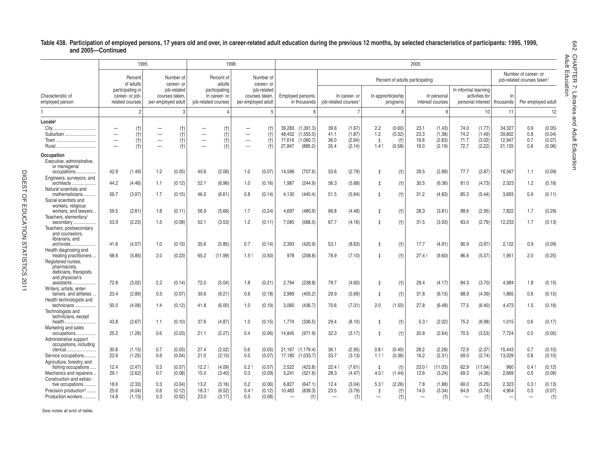#### **Table 438. Participation of employed persons, 17 years old and over, in career-related adult education during the previous 12 months, by selected characteristics of participants: 1995, 1999, and 2005—Continued**

|                                                                                                            |                      | 1995                                                                |                   |                                                                  |                      | 1999                                     |                    |                                             |                                             |                                   |                                  |                           |              |                               | 2005                            |                                 |                      |                                     |                  |                                                              |                         |
|------------------------------------------------------------------------------------------------------------|----------------------|---------------------------------------------------------------------|-------------------|------------------------------------------------------------------|----------------------|------------------------------------------|--------------------|---------------------------------------------|---------------------------------------------|-----------------------------------|----------------------------------|---------------------------|--------------|-------------------------------|---------------------------------|---------------------------------|----------------------|-------------------------------------|------------------|--------------------------------------------------------------|-------------------------|
|                                                                                                            |                      | Percent                                                             |                   | Number of                                                        |                      | Percent of                               |                    | Number of                                   |                                             |                                   |                                  |                           |              |                               |                                 |                                 |                      |                                     |                  | Number of career- or                                         |                         |
| Characteristic of<br>employed person                                                                       |                      | of adults<br>participating in<br>career- or job-<br>related courses |                   | career- or<br>iob-related<br>courses taken<br>per employed adult | job-related courses  | adults<br>participating<br>in career- or | per employed adult | career- or<br>job-related<br>courses taken. |                                             | Employed persons,<br>in thousands | job-related courses <sup>1</sup> | In career- or             |              | In apprenticeship<br>programs | Percent of adults participating | In personal<br>interest courses | In informal learning | activities for<br>personal interest | In<br>thousands  | job-related courses taken <sup>1</sup><br>Per employed adult |                         |
|                                                                                                            |                      | $\overline{c}$                                                      |                   | 3                                                                |                      |                                          |                    | 5                                           |                                             | 6                                 |                                  | $\overline{7}$            |              | 8                             |                                 | 9                               |                      | 10                                  | 11               |                                                              | 12                      |
| -ocale <sup>2</sup><br>City.<br>Suburban                                                                   |                      | (t)                                                                 |                   | (t)                                                              |                      | (t)                                      |                    | (t)                                         | 39.283<br>48.452                            | (1, 391.3)<br>(1.555.0)           | 39.6<br>41.1                     | (1.67)<br>(1.87)          | 2.2<br>1.2   | (0.60)<br>(0.32)              | 23.1<br>23.3                    | (1.43)<br>(1.38)                | 74.0<br>74.2         | (1.77)<br>(1.49)                    | 34,327<br>39.802 | 0.9<br>0.8                                                   | (0.05)<br>(0.04)        |
| Town<br>Rural                                                                                              |                      | $(+)$<br>(t)<br>(t)                                                 | -<br>-            | (t)<br>(t)<br>(t)                                                |                      | (t)<br>(t)<br>(t)                        | -<br>-             | (t)<br>(t)<br>(t)                           | 17,616<br>27.847                            | (1,060.7)<br>(885.2)              | 36.0<br>35.4                     | (2.64)<br>(2.14)          | - 1<br>1.4   | $(+)$<br>(0.58)               | 19.6<br>19.0                    | (2.83)<br>(2.19)                | 71.7<br>72.7         | (3.02)<br>(2.22)                    | 12,947<br>21,135 | 0.7<br>0.8                                                   | (0.07)<br>(0.06)        |
| Occupation<br>Executive, administrative.<br>or managerial                                                  |                      |                                                                     |                   |                                                                  |                      |                                          |                    |                                             |                                             |                                   |                                  |                           |              |                               |                                 |                                 |                      |                                     |                  |                                                              |                         |
| occupations<br>Engineers, surveyors, and                                                                   | 42.9                 | (1.49)                                                              | 1.2               | (0.05)                                                           | 40.6                 | (2.06)                                   | 1.0                | (0.07)                                      | 14.596                                      | (707.6)                           | 53.6                             | (2.79)                    |              | $(+)$                         | 29.5                            | (2.89)                          | 77.7                 | (2.87)                              | 16,567           | 1.1                                                          | (0.09)                  |
| architects<br>Natural scientists and<br>mathematicians.                                                    | 44.2<br>59.7         | (4.46)<br>(3.97)                                                    | 1.1<br>1.7        | (0.12)<br>(0.15)                                                 | 52.1<br>46.0         | (6.96)<br>(6.61)                         | 1.0<br>0.8         | (0.16)<br>(0.14)                            | 1,987<br>4,130                              | (244.9)<br>(445.4)                | 56.3<br>51.5                     | (5.68)<br>(5.64)          |              | (t)<br>$(+)$                  | 30.5<br>31.2                    | (6.36)<br>(4.83)                | 81.0<br>85.3         | (4.73)<br>(5.44)                    | 2,323<br>3,693   | 1.2<br>0.9                                                   | (0.16)<br>(0.11)        |
| Social scientists and<br>workers, religious<br>workers, and lawyers                                        | 59.5                 | (2.61)                                                              | 1.8               | (0.11)                                                           | 56.9                 | (5.66)                                   | 1.7                | (0.24)                                      | 4.697                                       | (480.9)                           | 66.8                             | (4.48)                    |              | $(+)$                         | 28.3                            | (3.81)                          | 88.6                 | (2.95)                              | 7,822            | 1.7                                                          | (0.29)                  |
| Teachers, elementary/<br>secondary                                                                         | 53.9                 | (2.23)                                                              | 1.5               | (0.08)                                                           | 52.1                 | (3.53)                                   | 1.2                | (0.11)                                      | 7,085                                       | (568.5)                           | 67.7                             | (4.16)                    |              | $(+)$                         | 31.5                            | (3.93)                          | 83.0                 | (2.79)                              | 12,233           | 1.7                                                          | (0.13)                  |
| Teachers, postsecondary<br>and counselors<br>librarians, and                                               |                      |                                                                     |                   |                                                                  |                      |                                          |                    |                                             |                                             |                                   |                                  |                           |              |                               |                                 |                                 |                      |                                     |                  |                                                              |                         |
| archivists<br>Health diagnosing and                                                                        | 41.6                 | (4.57)                                                              | 1.0               | (0.15)                                                           | 35.6                 | (5.85)                                   | 0.7                | (0.14)                                      | 2,393                                       | (420.9)                           | 53.1                             | (8.63)                    |              | (t)                           | 17.7                            | (4.91)                          | 90.9                 | (3.97)                              | 2,122            | 0.9                                                          | (0.09)                  |
| treating practitioners<br>Registered nurses.<br>pharmacists,<br>dieticians, therapists,<br>and physician's | 68.6                 | (5.85)                                                              | 2.0               | (0.23)                                                           | 65.2                 | (11.99)                                  | 1.5                | (0.50)                                      | 978                                         | (208.8)                           | 78.9                             | (7.10)                    |              | $(+)$                         | 27.4                            | (9.60)                          | 86.6                 | (5.37)                              | 1.951            | 2.0                                                          | (0.25)                  |
| assistants.<br>Writers, artists, enter-                                                                    | 72.8                 | (3.02)                                                              | 2.2               | (0.14)                                                           | 72.2                 | (5.04)                                   | 1.8                | (0.21)                                      | 2,794                                       | (238.8)                           | 79.7                             | (4.60)                    |              | (t)                           | 29.4                            | (4.17)                          | 84.3                 | (3.70)                              | 4,984            | 1.8                                                          | (0.15)                  |
| tainers, and athletes<br>Health technologists and                                                          | 23.4                 | (2.89)                                                              | 0.5               | (0.07)                                                           | 30.6                 | (6.21)                                   | 0.6                | (0.18)                                      | 2,969                                       | (405.2)                           | 29.9                             | (5.69)                    |              | $(+)$                         | 31.8                            | (6.15)                          | 88.9                 | (4.39)                              | 1,865            | 0.6                                                          | (0.15)                  |
| technicians.<br>Technologists and<br>technicians, except                                                   | 50.0                 | (4.08)                                                              | 1.4               | (0.12)                                                           | 41.8                 | (6.00)                                   | 1.0                | (0.19)                                      | 3,060                                       | (436.7)                           | 70.6                             | (7.31)                    | 2.0          | (1.50)                        | 27.8                            | (6.48)                          | 77.5                 | (6.40)                              | 4,473            | 1.5                                                          | (0.18)                  |
| health<br>Marketing and sales<br>occupations.                                                              | 43.8<br>25.2         | (2.67)<br>(1.26)                                                    | 1.1<br>0.6        | (0.10)<br>(0.03)                                                 | 37.6<br>21.1         | (4.87)<br>(2.27)                         | 1.0<br>0.4         | (0.15)<br>(0.06)                            | 1,774<br>14,845                             | (336.5)<br>(971.9)                | 29.4<br>32.3                     | (8.10)<br>(3.17)          |              | (t)<br>(t)                    | 5.3<br>20.8                     | (2.02)<br>(2.64)                | 75.2<br>70.5         | (8.98)<br>(3.53)                    | 1,015<br>7,724   | 0.6<br>0.5                                                   | (0.17)<br>(0.05)        |
| Administrative support<br>occupations, including<br>clerical.                                              | 30.8                 | (1.15)                                                              | 0.7               | (0.03)                                                           | 27.4                 | (2.02)                                   | 0.6                | (0.05)                                      | 21.167                                      | (1, 179.4)                        | 36.1                             | (2.95)                    | 0.8          | (0.40)                        | 28.2                            | (2.28)                          | 72.9                 | (2.37)                              | 15.443           | 0.7                                                          | (0.10)                  |
| Service occupations<br>Agriculture, forestry, and                                                          | 22.6                 | (1.25)                                                              | 0.6               | (0.04)                                                           | 21.0                 | (2.15)                                   | 0.5                | (0.07)                                      | 17,180                                      | (1,033.7)                         | 33.7                             | (3.13)                    | 1.1          | (0.36)                        | 16.2                            | (2.31)                          | 69.0                 | (2.74)                              | 13,029           | 0.8                                                          | (0.10)                  |
| fishing occupations<br>Mechanics and repairers<br>Construction and extrac-                                 | 12.4<br>29.1         | (2.47)<br>(2.62)                                                    | 0.3<br>0.7        | (0.07)<br>(0.08)                                                 | 12.2<br>15.0         | (4.09)<br>(3.40)                         | 0.2<br>0.3         | (0.07)<br>(0.09)                            | 2.522<br>5,241                              | (423.8)<br>(521.6)                | 22.4<br>28.3                     | (7.61)<br>(4.47)          | $4.0$ !      | (t)<br>(1.44)                 | 23.0<br>12.6                    | (11.03)<br>(3.24)               | 62.9<br>69.3         | (11.04)<br>(4.36)                   | 960<br>2,669     | 0.4<br>0.5                                                   | (0.12)<br>(0.09)        |
| tive occupations<br>Precision production <sup>3</sup><br>Production workers.                               | 18.6<br>25.6<br>14.8 | (2.33)<br>(4.04)<br>(1.13)                                          | 0.3<br>0.6<br>0.3 | (0.04)<br>(0.12)<br>(0.02)                                       | 13.2<br>18.3<br>23.0 | (3.16)<br>(6.52)<br>(3.17)               | 0.2<br>0.4<br>0.5  | (0.06)<br>(0.12)<br>(0.08)                  | 6,827<br>10,483<br>$\overline{\phantom{a}}$ | (647.1)<br>(839.3)<br>(t)         | 12.4<br>23.5                     | (3.04)<br>(3.79)<br>$(+)$ | 5.3<br>$\pm$ | (2.26)<br>(t)<br>$(+)$        | 7.8<br>14.0                     | (1.88)<br>(3.34)<br>$(+)$       | 69.0<br>64.9         | (5.25)<br>(3.74)<br>(t)             | 2,323<br>4,904   | 0.3<br>0.5                                                   | (0.13)<br>(0.07)<br>(t) |

See notes at end of table.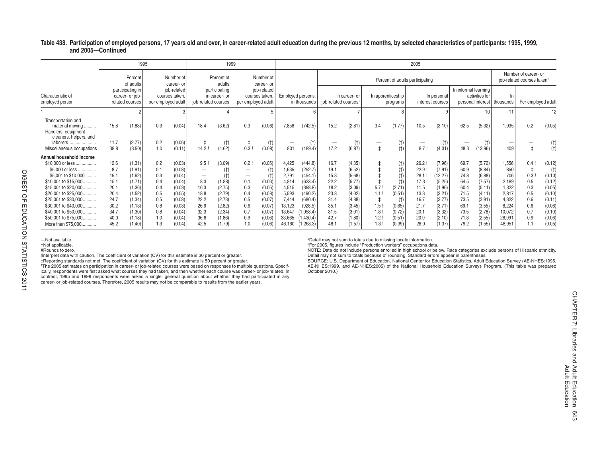#### Table 438. Participation of employed persons, 17 years old and over, in career-related adult education during the previous 12 months, by selected characteristics of participants: 1995, 1999, **and 2005—Continued**

|                                                                 |              | 1995                                                   |                    |                               |                     | 1999                           |                          |                               |                                 |                    |                                  |                  |     |                               | 2005                            |                                 |                      |                                     |                |                                                                |                  |  |
|-----------------------------------------------------------------|--------------|--------------------------------------------------------|--------------------|-------------------------------|---------------------|--------------------------------|--------------------------|-------------------------------|---------------------------------|--------------------|----------------------------------|------------------|-----|-------------------------------|---------------------------------|---------------------------------|----------------------|-------------------------------------|----------------|----------------------------------------------------------------|------------------|--|
|                                                                 |              | Percent<br>of adults                                   |                    | Number of<br>career- or       |                     | Percent of<br>adults           |                          | Number of<br>career- or       |                                 |                    |                                  |                  |     |                               | Percent of adults participating |                                 |                      |                                     |                | Number of career- or<br>job-related courses taken <sup>1</sup> |                  |  |
| Characteristic of<br>employed person                            |              | participating in<br>career- or job-<br>related courses | per employed adult | job-related<br>courses taken. | job-related courses | participating<br>in career- or | per employed adult       | job-related<br>courses taken, | Employed persons,               | in thousands       | job-related courses <sup>1</sup> | In career- or    |     | In apprenticeship<br>programs |                                 | In personal<br>interest courses | In informal learning | activities for<br>personal interest | thousands      | Per employed adult                                             |                  |  |
|                                                                 |              |                                                        |                    |                               |                     |                                |                          |                               |                                 |                    |                                  |                  |     |                               |                                 |                                 |                      |                                     | 11             |                                                                | 12               |  |
| Transportation and<br>material moving<br>Handlers, equipment    | 15.8         | (1.83)                                                 | 0.3                | (0.04)                        | 18.4                | (3.62)                         | 0.3                      | (0.06)                        | 7,858                           | (742.5)            | 15.2                             | (2.81)           | 3.4 | (1.77)                        | 10.5                            | (3.10)                          | 62.5                 | (5.32)                              | 1,935          | 0.2                                                            | (0.05)           |  |
| cleaners, helpers, and<br>laborers<br>Miscellaneous occupations | 11.7<br>38.8 | (2.77)<br>(3.50)                                       | 0.2<br>1.0         | (0.06)<br>(0.11)              | 14.2                | (t)<br>(4.62)                  | 0.3                      | $(+)$<br>(0.08)               | $\overline{\phantom{m}}$<br>801 | (t)<br>189.4       | —<br>17.2                        | (t)<br>(6.87)    |     | (t)<br>(t)                    | -<br>8.7                        | (t)<br>(4.31)                   | 48.3                 | (t)<br>(13.96)                      | 409            |                                                                | (t)              |  |
| Annual household income                                         |              |                                                        |                    |                               |                     |                                |                          |                               |                                 |                    |                                  |                  |     |                               |                                 |                                 |                      |                                     |                |                                                                |                  |  |
| \$10,000 or less                                                | 12.6         | (1.31)                                                 | 0.2                | (0.03)                        | 9.5                 | (3.09)                         | 0.2                      | (0.05)                        | 4,425                           | (444.8)            | 16.7                             | (4.35)           |     | (t)                           | 26.2                            | (7.96)                          | 69.7                 | (5.72)                              | 1,556          | 0.4                                                            | (0.12)           |  |
| \$5.000 or less                                                 | 8.7          | (1.91)                                                 | 0.1                | (0.03)                        | —                   |                                | -                        |                               | 1,635                           | (252.7)            | 19.1                             | (6.52)           |     | (t)                           | 22.9                            | (7.91)                          | 60.9                 | (8.84)                              | 850            |                                                                |                  |  |
| \$5,001 to \$10,000                                             | 15.1         | (1.62)                                                 | 0.3                | (0.04)                        | —                   |                                | $\overline{\phantom{m}}$ |                               | 2,79                            | (454.1)            | 15.3                             | (5.68)           |     | (t)                           | 28.1                            | (12.27)                         | 74.8                 | (6.88)                              | 706            | 0.3                                                            | (0.10)           |  |
| \$10,001 to \$15,000.                                           | 15.1         | (1.71)                                                 | 0.4                | (0.04)                        | 8.3                 | (1.88)                         | 0.1                      | (0.03)                        | 4,814                           | (633.4)            | 22.2                             | (5.77)           |     | $(+)$                         | 17.3                            | (5.25)                          | 64.5                 | (7.57)                              | 2.189          | 0.5                                                            | (0.12)           |  |
| \$15,001 to \$20,000                                            | 20.1         | (1.36)                                                 | 0.4                | (0.03)                        | 16.3                | (2.75)                         | 0.3                      | (0.05)                        | 4,515                           | (398.8)            | 18.2                             | (3.09)           | 5.7 | (2.71)                        | 11.5                            | (1.96)                          | 60.4                 | (5.11)                              | 1,322          | 0.3                                                            | (0.05)           |  |
| \$20,001 to \$25,000<br>\$25,001 to \$30,000                    | 20.4<br>24.7 | (1.52)<br>(1.34)                                       | 0.5<br>0.5         | (0.05)<br>(0.03)              | 18.8<br>22.2        | (2.79)<br>(2.73)               | 0.4<br>0.5               | (0.08)<br>(0.07)              | 5,593<br>7,444                  | (490.2)<br>(680.4) | 23.8<br>31.4                     | (4.02)<br>(4.88) | 1.1 | (0.51)<br>$(+)$               | 13.3<br>16.7                    | (3.21)<br>(3.77)                | 71.5<br>73.5         | (4.11)<br>(3.91)                    | 2,817<br>4,322 | 0.5<br>0.6                                                     | (0.10)<br>(0.11) |  |
| \$30,001 to \$40,000                                            | 30.2         | (1.13)                                                 | 0.8                | (0.03)                        | 26.6                | (2.82)                         | 0.6                      | (0.07)                        | 13,123                          | (928.5)            | 35.1                             | (3.45)           | 1.5 | (0.65)                        | 21.7                            | (3.71)                          | 69.                  | (3.55)                              | 8.224          | 0.6                                                            | (0.06)           |  |
| \$40,001 to \$50,000                                            | 34.7         | (1.30)                                                 | 0.8                | (0.04)                        | 32.3                | (2.34)                         | 0.7                      | (0.07)                        | 13,647                          | (1,058.4)          | 31.5                             | (3.01)           | 1.8 | (0.72)                        | 20.1                            | (3.32)                          | 73.5                 | (2.78)                              | 10,072         | 0.7                                                            | (0.10)           |  |
| \$50,001 to \$75,000                                            | 40.0         | (1.18)                                                 | 1.0                | (0.04)                        | 36.6                | (1.86)                         | 0.9                      | (0.06)                        | 33,665                          | (1,430.4)          | 42.7                             | (1.80)           | 1.2 | (0.51)                        | 20.9                            | (2.10)                          | 71.3                 | (2.55)                              | 28,991         | 0.9                                                            | (0.06)           |  |
| More than \$75,000                                              | 45.2         | (1.40)                                                 | 1.3                | (0.04)                        | 42.5                | (1.79)                         |                          | (0.06)                        | 46,160                          | (1,263.3)          | 48.1                             | (1.57)           | 1.3 | (0.39)                        | 26.0                            | (1.37)                          | 79.2                 | (1.55)                              | 48.951         |                                                                | (0.05)           |  |

DIGEST OF EDUCATION STATISTICS 2011

DIGEST OF EDUCATION STATISTICS 2011

—Not available. †Not applicable.

#Rounds to zero.

!Interpret data with caution. The coefficient of variation (CV) for this estimate is 30 percent or greater.<br>‡Reporting standards not met. The coefficient of variation (CV) for this estimate is 50 percent or greater.

<sup>1</sup>The 2005 estimates on participation in career- or job-related courses were based on responses to multiple questions. Specifically, respondents were first asked what courses they had taken, and then whether each course was career- or job-related. In contrast, 1995 and 1999 respondents were asked a single, general question about whether they had participated in any career- or job-related courses. Therefore, 2005 results may not be comparable to results from the earlier years.

2Detail may not sum to totals due to missing locale information. 3For 2005, figures include "Production workers" occupations data.

NOTE: Data do not include persons enrolled in high school or below. Race categories exclude persons of Hispanic ethnicity. Detail may not sum to totals because of rounding. Standard errors appear in parentheses.

SOURCE: U.S. Department of Education, National Center for Education Statistics, Adult Education Survey (AE-NHES:1995, AE-NHES:1999, and AE-NHES:2005) of the National Household Education Surveys Program. (This table was prepared October 2010.)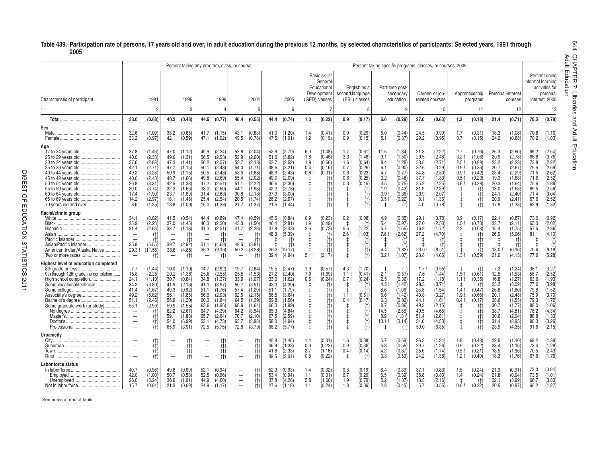### **Table 439. Participation rate of persons, 17 years old and over, in adult education during the previous 12 months, by selected characteristics of participants: Selected years, 1991 through 2005**

|                                                                                                                                                                       |                                                                                                                                                                      |                                                                                                              |                                                                                              |                                                                                                                      | Percent taking any program, class, or course                                                 |                                                                                                                      |                                                                                              |                                                                                                                      |                                                                                              |                                                                                                                      |                                                       |                                                                                                                      |                                                 |                                                                                                                                              |                                                                           |                                                                                                                    |                                                                                             |                                                                                                                      | Percent taking specific programs, classes, or courses, 2005 |                                                                                  |                                                                                             |                                                                                                                      |                                                                                              |                                                                                                                      | ault E<br>HAPTE                            |
|-----------------------------------------------------------------------------------------------------------------------------------------------------------------------|----------------------------------------------------------------------------------------------------------------------------------------------------------------------|--------------------------------------------------------------------------------------------------------------|----------------------------------------------------------------------------------------------|----------------------------------------------------------------------------------------------------------------------|----------------------------------------------------------------------------------------------|----------------------------------------------------------------------------------------------------------------------|----------------------------------------------------------------------------------------------|----------------------------------------------------------------------------------------------------------------------|----------------------------------------------------------------------------------------------|----------------------------------------------------------------------------------------------------------------------|-------------------------------------------------------|----------------------------------------------------------------------------------------------------------------------|-------------------------------------------------|----------------------------------------------------------------------------------------------------------------------------------------------|---------------------------------------------------------------------------|--------------------------------------------------------------------------------------------------------------------|---------------------------------------------------------------------------------------------|----------------------------------------------------------------------------------------------------------------------|-------------------------------------------------------------|----------------------------------------------------------------------------------|---------------------------------------------------------------------------------------------|----------------------------------------------------------------------------------------------------------------------|----------------------------------------------------------------------------------------------|----------------------------------------------------------------------------------------------------------------------|--------------------------------------------|
| Characteristic of participant                                                                                                                                         |                                                                                                                                                                      | 1991                                                                                                         |                                                                                              | 1995                                                                                                                 |                                                                                              | 1999                                                                                                                 |                                                                                              | 2001                                                                                                                 |                                                                                              | 2005                                                                                                                 |                                                       | Basic skills/<br>General<br>Educational<br>Development<br>(GED) classes                                              | second language                                 | English as a<br>(ESL) classes                                                                                                                |                                                                           | Part-time post-<br>secondary<br>education                                                                          |                                                                                             | Career- or job-<br>related courses                                                                                   |                                                             | Apprenticeship<br>programs                                                       | Personal-interest                                                                           | courses                                                                                                              | informal learning                                                                            | Percent doing<br>activities for<br>personal<br>interest. 2005                                                        | duc<br>$\mathbb{D}$<br>ation<br>Ņ<br>Libra |
|                                                                                                                                                                       |                                                                                                                                                                      | $\mathcal{P}$                                                                                                |                                                                                              | 3                                                                                                                    |                                                                                              |                                                                                                                      |                                                                                              | 5                                                                                                                    |                                                                                              | 6                                                                                                                    |                                                       |                                                                                                                      |                                                 |                                                                                                                                              |                                                                           | 9                                                                                                                  |                                                                                             | 10                                                                                                                   |                                                             | 11                                                                               |                                                                                             | 12                                                                                                                   |                                                                                              | 13                                                                                                                   | iries                                      |
|                                                                                                                                                                       | 33.0                                                                                                                                                                 | (0.68)                                                                                                       | 40.2                                                                                         | (0.48)                                                                                                               | 44.5                                                                                         | (0.77)                                                                                                               | 46.4                                                                                         | (0.55)                                                                                                               | 44.4                                                                                         | (0.74)                                                                                                               | 1.3                                                   | (0.22)                                                                                                               | 0.9                                             | (0.17)                                                                                                                                       | 5.0                                                                       | (0.29)                                                                                                             | 27.0                                                                                        | (0.63)                                                                                                               | 1.2                                                         | (0.18)                                                                           | 21.4                                                                                        | (0.71)                                                                                                               | 70.5                                                                                         | (0.79)                                                                                                               | and                                        |
| Sex                                                                                                                                                                   | 32.6<br>33.2                                                                                                                                                         | (1.09)<br>(0.97)                                                                                             | 38.2<br>42.1                                                                                 | (0.65)<br>(0.59)                                                                                                     | 41.7<br>47.1                                                                                 | (1.15)<br>(1.02)                                                                                                     | 43.1<br>49.5                                                                                 | (0.83)<br>(0.78)                                                                                                     | 41.0<br>47.5                                                                                 | (1.20)<br>(1.01)                                                                                                     | 1.4<br>1.2                                            | (0.41)<br>(0.19)                                                                                                     | 0.9<br>0.9                                      | (0.29)<br>(0.15)                                                                                                                             | 5.0<br>5.1                                                                | (0.44)<br>(0.37)                                                                                                   | 24.5<br>29.2                                                                                | (0.99)<br>(0.95)                                                                                                     | 1.7<br>0.7                                                  | (0.31)<br>(0.15)                                                                 | 18.3<br>24.2                                                                                | (1.08)<br>(0.88)                                                                                                     | 70.8<br>70.2                                                                                 | (1.10)<br>(1.03)                                                                                                     | Adult                                      |
| Aqe<br>17 to 24 years old                                                                                                                                             | 37.8<br>40.0<br>37.6<br>42.1<br>49.2<br>40.0<br>26.8<br>29.0<br>17.4<br>14.2<br>8.6                                                                                  | (1.46)<br>(2.33)<br>(2.88)<br>(2.71)<br>(3.28)<br>(2.43)<br>(3.31)<br>(3.74)<br>(1.90)<br>(2.97)<br>(1.25)   | 47.0<br>49.6<br>47.3<br>47.7<br>50.9<br>48.7<br>42.5<br>32.2<br>23.7<br>18.1<br>13.8         | (1.12)<br>(1.31)<br>(1.41)<br>(1.15)<br>(1.15)<br>1.66<br>(1.38)<br>(1.66)<br>(1.89)<br>(1.46)<br>(1.09)             | 49.9<br>56.5<br>56.2<br>50.1<br>50.5<br>49.8<br>47.2<br>38.0<br>31.4<br>25.4<br>15.0         | (2.34)<br>(2.53)<br>(2.57)<br>(2.43)<br>(2.43)<br>(2.69)<br>(2.51)<br>(2.60)<br>(2.83)<br>(2.54)<br>(1.38)           | 52.8<br>52.9<br>53.7<br>54.0<br>53.5<br>55.4<br>51.1<br>44.1<br>30.8<br>20.5<br>21.7         | (2.04)<br>(2.60)<br>(2.18)<br>(1.71)<br>(1.88)<br>(2.02)<br>(2.22)<br>(1.98)<br>(2.18)<br>(1.74)<br>(1.37)           | 52.8<br>51.6<br>52.7<br>48.6<br>48.9<br>49.0<br>46.6<br>42.2<br>37.9<br>26.2<br>21.5         | (2.79)<br>(3.82)<br>(2.52)<br>(3.21)<br>(2.43)<br>(2.09)<br>(2.36)<br>(2.78)<br>(3.00)<br>(2.67)<br>(1.44)           | 6.0<br>1.8<br>1.9!<br>0.4!<br>0.8!<br>ŧ<br>$\ddagger$ | (1.48)<br>(0.48)<br>(0.66)<br>(0.16)<br>(0.31)<br>(t)<br>(t)<br>(t)<br>$^{(+)}$<br>$†$                               | 1.7!<br>3.3!<br>1.6<br>0.7<br>0.6<br>0.6<br>0.3 | (0.61)<br>(1.48)<br>(0.64)<br>(0.26)<br>(0.23)<br>(0.25)<br>(0.15)<br>$\binom{+}{+}$<br>$\begin{array}{c} (\dagger) \ (\dagger) \end{array}$ | 11.5<br>9.1<br>8.4<br>6.1<br>4.7<br>3.2<br>4.5<br>1.9<br>0.9<br>0.5!<br>ŧ | (1.34)<br>(1.50)<br>(1.28)<br>(0.90)<br>(0.77)<br>(0.48)<br>(0.75)<br>(0.43)<br>(0.36)<br>(0.22)<br>(t)            | 21.3<br>29.5<br>33.8<br>32.6<br>34.8<br>37.7<br>35.2<br>31.9<br>20.9<br>8.1<br>4.0          | (2.22)<br>(2.48)<br>(2.71<br>(3.29)<br>(2.30)<br>(1.83)<br>(2.25)<br>(2.39)<br>(2.07)<br>(1.36)<br>(0.78)            | 2.7<br>3.2<br>2.5<br>0.9!<br>0.9!<br>0.5!<br>0.6!<br>t<br>ŧ | (0.76)<br>(1.06)<br>(0.89)<br>(0.36)<br>(0.42)<br>(0.23)<br>(0.28)<br>(t)<br>(t) | 26.3<br>20.9<br>23.2<br>20.7<br>23.4<br>19.3<br>20.3<br>18.0<br>24.1<br>20.9<br>17.9        | (2.60)<br>(2.78)<br>(2.23)<br>(2.67)<br>(2.29)<br>(1.88)<br>(1.64)<br>(1.63)<br>(2.40)<br>(2.41)<br>(1.33)           | 69.2<br>66.8<br>73.8<br>75.5<br>71.5<br>71.6<br>75.6<br>69.5<br>71.4<br>67.6<br>62.9         | (2.54)<br>(3.75)<br>(2.22)<br>(2.69)<br>(2.62)<br>(2.52)<br>(1.89)<br>(2.56)<br>(3.04)<br>(2.52)<br>(1.82)           | $\Box$<br>ducation                         |
| Racial/ethnic group<br>Asian/Pacific Islander<br>American Indian/Alaska Native                                                                                        | 34.1<br>25.9<br>31.4<br>$\overline{\phantom{a}}$<br>$\overline{\phantom{0}}$<br>35.9<br>29.3!<br>$\overline{\phantom{0}}$                                            | (0.82)<br>(2.23)<br>(2.63)<br>$\binom{+}{+}$<br>(5.55)<br>(11.55)<br>(t)                                     | 41.5<br>37.0<br>33.7<br>39.7<br>38.8<br>$\overline{\phantom{0}}$                             | (0.54)<br>(1.45)<br>(1.18)<br>(2.92)<br>(4.85)<br>$(+)$                                                              | 44.4<br>46.3<br>41.3<br>51.1<br>36.3                                                         | (0.89)<br>(2.30)<br>(2.51)<br>(4.63)<br>(9.16)<br>$(+)$                                                              | 47.4<br>43.3<br>41.7<br>$\overline{\phantom{0}}$<br>49.5<br>50.2<br>$\overline{\phantom{m}}$ | (0.59)<br>(1.50)<br>(2.28)<br>(t)<br>Ì.<br>(3.81)<br>(8.28)<br>(t)                                                   | 45.6<br>46.4<br>37.8<br>48.3<br>36.3<br>39.4                                                 | (0.84)<br>(2.81)<br>(2.43)<br>(5.39)<br>$^{(+)}$<br>(10.17)<br>(4.94)                                                | 0.9<br>1.9<br>2.6<br>5.1!                             | (0.23)<br>(0.49)<br>(0.72)<br>$^{(+)}$<br>(†<br>$^{(+)}$<br>(2.17)                                                   | 0.2<br>$\pm$<br>5.6<br>2.6                      | (0.08)<br>(t)<br>(1.22)<br>(1.03)<br>(†<br>$(+)$<br>$\begin{pmatrix} 1 \\ 1 \end{pmatrix}$                                                   | 4.9<br>5.4<br>5.7<br>7.6<br>4.4<br>3.2!                                   | (0.35)<br>(0.97)<br>(1.55)<br>(2.62)<br>$(+)$<br>(1.82)<br>(1.07)                                                  | 29.1<br>27.0<br>16.9<br>27.2<br>23.0<br>23.8                                                | (0.70)<br>(2.53)<br>(1.72)<br>(4.70)<br>(†<br>(t)<br>(8.51)<br>(4.06)                                                | 0.9<br>1.5!<br>2.2<br>1.3!                                  | (0.17)<br>(0.73)<br>(0.63)<br>(0.59)                                             | 22.1<br>23.7<br>15.4<br>26.5<br>13.0!<br>21.0                                               | (0.87)<br>(2.11)<br>(1.75)<br>(5.06)<br>$(+)$<br>(6.16)<br>(4.13)                                                    | 73.0<br>65.3<br>57.5<br>81.1<br>70.6<br>77.6                                                 | (0.92)<br>(2.02)<br>(2.86)<br>(4.10)<br>(t)<br>$^{(+)}$<br>(9.18)<br>(5.28)                                          |                                            |
| Highest level of education completed<br>9th through 12th grade, no completion<br>High school completion<br>Some vocational/technical<br>Some graduate work (or study) | 7.7<br>15.8<br>24.1<br>34.2<br>41.4<br>49.2<br>51.1<br>55.1<br>$\overline{\phantom{a}}$<br>$\qquad \qquad -$<br>$\overline{\phantom{0}}$<br>$\overline{\phantom{0}}$ | (1.44)<br>(2.25)<br>(1.10)<br>(3.80)<br>(1.67)<br>(5.82)<br>(2.46)<br>(2.90)<br>$\binom{+}{+}$<br>(t)<br>(t) | 10.0<br>20.2<br>30.7<br>41.9<br>49.3<br>56.1<br>56.9<br>59.9<br>62.2<br>59.1<br>54.0<br>65.9 | (1.10)<br>(1.38)<br>(0.84)<br>(2.16)<br>(0.92)<br>(1.85)<br>(1.20)<br>(1.55)<br>(2.67)<br>(1.88)<br>(6.99)<br>(3.91) | 14.7<br>25.6<br>34.8<br>41.1<br>51.1<br>56.6<br>60.3<br>63.6<br>64.7<br>65.7<br>53.1<br>72.5 | (2.92)<br>(2.55)<br>(1.37)<br>(3.97)<br>(1.76)<br>(2.93)<br>(1.84)<br>(1.96)<br>(4.39)<br>(2.64)<br>(4.73)<br>(5.75) | 19.7<br>25.5<br>33.9<br>50.7<br>57.4<br>62.5<br>64.5<br>68.9<br>64.2<br>70.7<br>63.7<br>72.8 | (2.84)<br>(1.53)<br>(1.07)<br>(3.51)<br>(1.29)<br>(2.15)<br>(1.39)<br>(1.64)<br>(3.54)<br>(2.10)<br>(3.98)<br>(3.79) | 15.5<br>27.2<br>33.0<br>43.3<br>51.1<br>56.5<br>59.8<br>66.3<br>65.3<br>67.5<br>58.0<br>68.2 | (2.47)<br>(2.40)<br>(1.62)<br>(4.30)<br>(1.79)<br>(3.64)<br>(1.56)<br>(1.99)<br>(4.84)<br>(2.59)<br>(4.94)<br>(5.77) | 1.9<br>7.9<br>0.5!<br>ŧ                               | (0.57)<br>(1.69)<br>(0.24)<br>$^{(+)}$<br>(f)<br>(t)<br>$^{(+)}$<br>$^{(+)}$<br>$^{(+)}$<br>(†)<br>$^{(+)}$<br>$(+)$ | 4.3!<br>1.1!<br>0.7!<br>1.1!<br>0.4!            | (1.70)<br>(0.41)<br>(0.24)<br>(t)<br>(t)<br>(0.51)<br>(0.17)<br>(†<br>$\begin{pmatrix} 1 \\ 1 \end{pmatrix}$<br>(f)<br>(t)                   | 2.1<br>2.5<br>4.5<br>8.6<br>6.6<br>6.3<br>8.7<br>14.5<br>8.9<br>10.1<br>t | $(+)$<br>(0.57)<br>(0.36)<br>(1.42)<br>(1.06)<br>(1.42)<br>(0.82)<br>(0.86)<br>(2.55)<br>(1.31)<br>(3.14)<br>$(+)$ | 1.7!<br>7.6<br>17.2<br>28.3<br>28.8<br>40.8<br>44.1<br>49.3<br>40.5<br>51.4<br>34.0<br>59.0 | (0.55)<br>(1.44)<br>(1.18)<br>(3.71)<br>(1.54)<br>(3.27)<br>(1.61)<br>(2.15)<br>(4.68)<br>(2.81)<br>(4.53)<br>(6.35) | 1.5!<br>1.1!<br>1.4!<br>1.9!<br>0.4!                        | (0.61)<br>(0.35)<br>(0.47)<br>(0.66)<br>(0.17)<br>(t)                            | 7.3<br>12.5<br>16.8<br>23.2<br>26.8<br>20.1<br>28.6<br>30.7<br>38.7<br>30.6<br>31.4<br>23.9 | (1.24)<br>(1.53)<br>(1.27)<br>(3.09)<br>(1.80)<br>(2.48)<br>(1.55)<br>(1.77)<br>(4.81)<br>(2.04)<br>(3.95)<br>(4.35) | 38.1<br>55.7<br>63.6<br>77.6<br>79.8<br>75.9<br>79.3<br>88.0<br>78.2<br>88.8<br>90.3<br>91.6 | (3.27)<br>(2.52)<br>(1.93)<br>(3.98)<br>(1.52)<br>(3.70)<br>(1.72)<br>(1.06)<br>(4.34)<br>(1.33)<br>(3.26)<br>(2.15) |                                            |
| Urbanicitv                                                                                                                                                            | -<br>$\overline{\phantom{0}}$<br>$\overline{\phantom{0}}$<br>$\overline{\phantom{0}}$                                                                                | (t)<br>ťť<br>(t)<br>(t)                                                                                      | $\overline{\phantom{0}}$<br>$\overline{\phantom{0}}$                                         | (t)<br>(t)<br>(t)                                                                                                    | $\overline{\phantom{0}}$<br>$\overline{\phantom{0}}$                                         | (†)<br>(t)<br>(t)                                                                                                    | —<br>—<br>$\overline{\phantom{0}}$                                                           | $\begin{pmatrix} 1 \\ 1 \end{pmatrix}$<br>(f)<br>(t)                                                                 | 45.8<br>46.9<br>41.8<br>39.5                                                                 | (1.46)<br>1.33<br>(2.33)<br>(2.04)                                                                                   | 1.4<br>0.9<br>2.7!<br>0.8                             | (0.31)<br>(0.23)<br>(1.16)<br>(0.22)                                                                                 | 1.6<br>0.9!<br>0.4!<br>$\ddagger$               | (0.38)<br>(0.36)<br>(0.14)<br>(t)                                                                                                            | 5.7<br>5.8<br>4.2<br>3.3                                                  | (0.59)<br>(0.55)<br>(0.87)<br>(0.59)                                                                               | 26.3<br>29.7<br>25.6<br>24.2                                                                | (1.24)<br>(1.26)<br>(1.74)<br>(1.38)                                                                                 | 1.8<br>0.9<br>0.5<br>1.2!                                   | (0.43)<br>(0.22)<br>(0.21)<br>(0.40)                                             | 22.5<br>23.4<br>18.5<br>18.3                                                                | (1.10)<br>(1.16)<br>(1.96)<br>(1.76)                                                                                 | 69.2<br>73.4<br>70.5<br>67.6                                                                 | (1.39)<br>(1.28)<br>(2.43)<br>(1.76)                                                                                 |                                            |
| Labor force status                                                                                                                                                    | 40.7<br>42.0<br>26.0<br>15.7                                                                                                                                         | (0.96)<br>(1.00)<br>(3.24)<br>(0.91)                                                                         | 49.8<br>50.7<br>36.6<br>21.3                                                                 | (0.69)<br>(0.53)<br>(1.91)<br>(0.69)                                                                                 | 52.1<br>52.5<br>44.9<br>24.9                                                                 | (0.94)<br>(0.96)<br>(4.60)<br>(1.17)                                                                                 | $\overline{\phantom{0}}$<br>$\qquad \qquad -$<br>$\overline{\phantom{0}}$                    | (†<br>(t)<br>(t)<br>(t)                                                                                              | 52.3<br>53.4<br>37.8<br>27.6                                                                 | (0.93)<br>(0.94)<br>(4.26)<br>(1.18)                                                                                 | 1.4<br>1.1<br>5.8<br>1.1                              | (0.32)<br>(0.31)<br>(1.60)<br>(0.24)                                                                                 | 0.8<br>0.7<br>1.9 <sup>1</sup><br>1.3           | (0.19)<br>(0.20)<br>(0.79)<br>(0.36)                                                                                                         | 6.4<br>6.5<br>5.2<br>2.3                                                  | (0.39)<br>(0.39)<br>(1.37)<br>(0.45)                                                                               | 37.1<br>38.8<br>13.5<br>5.7                                                                 | (0.83)<br>(0.83)<br>(2.16)<br>(0.55)                                                                                 | 1.5<br>1.4<br>0.6!                                          | (0.24)<br>(0.24)<br>(0.22)                                                       | 21.9<br>21.8<br>22.1<br>20.5                                                                | (0.91)<br>(0.94)<br>(3.99)<br>(0.97)                                                                                 | 73.0<br>73.5<br>66.7<br>65.2                                                                 | (0.94)<br>(1.01)<br>(3.80)<br>(1.27)                                                                                 |                                            |

See notes at end of table.